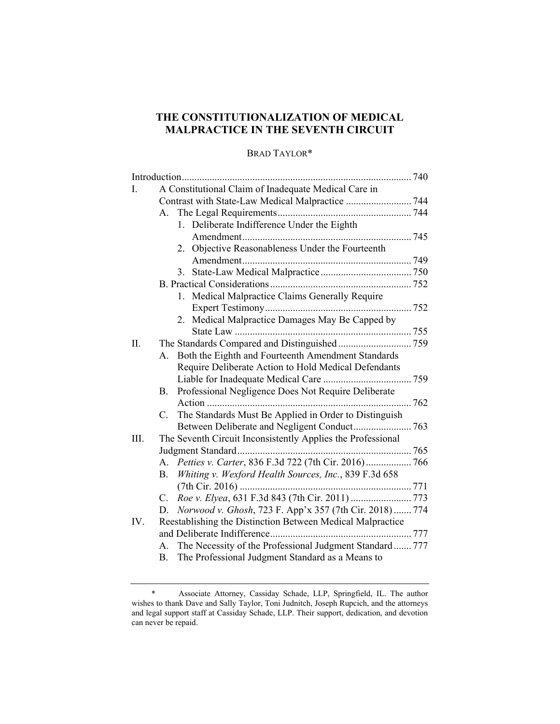# **THE CONSTITUTIONALIZATION OF MEDICAL MALPRACTICE IN THE SEVENTH CIRCUIT**

## BRAD TAYLOR\*

| L.  | A Constitutional Claim of Inadequate Medical Care in                 |
|-----|----------------------------------------------------------------------|
|     |                                                                      |
|     | А.                                                                   |
|     | 1. Deliberate Indifference Under the Eighth                          |
|     |                                                                      |
|     | Objective Reasonableness Under the Fourteenth<br>2.                  |
|     |                                                                      |
|     | 3.                                                                   |
|     |                                                                      |
|     | Medical Malpractice Claims Generally Require<br>1.                   |
|     |                                                                      |
|     | 2. Medical Malpractice Damages May Be Capped by                      |
|     |                                                                      |
| II. |                                                                      |
|     | Both the Eighth and Fourteenth Amendment Standards<br>A <sub>1</sub> |
|     | Require Deliberate Action to Hold Medical Defendants                 |
|     |                                                                      |
|     | Professional Negligence Does Not Require Deliberate<br>В.            |
|     |                                                                      |
|     | The Standards Must Be Applied in Order to Distinguish<br>$C_{\cdot}$ |
|     | Between Deliberate and Negligent Conduct 763                         |
| Ш.  | The Seventh Circuit Inconsistently Applies the Professional          |
|     |                                                                      |
|     | A. Petties v. Carter, 836 F.3d 722 (7th Cir. 2016) 766               |
|     | Whiting v. Wexford Health Sources, Inc., 839 F.3d 658<br><b>B.</b>   |
|     |                                                                      |
|     | C.                                                                   |
|     | Norwood v. Ghosh, 723 F. App'x 357 (7th Cir. 2018) 774<br>D.         |
| IV. | Reestablishing the Distinction Between Medical Malpractice           |
|     |                                                                      |
|     | The Necessity of the Professional Judgment Standard 777<br>А.        |
|     | The Professional Judgment Standard as a Means to<br>В.               |

 <sup>\*</sup> Associate Attorney, Cassiday Schade, LLP, Springfield, IL. The author wishes to thank Dave and Sally Taylor, Toni Judnitch, Joseph Rupcich, and the attorneys and legal support staff at Cassiday Schade, LLP. Their support, dedication, and devotion can never be repaid.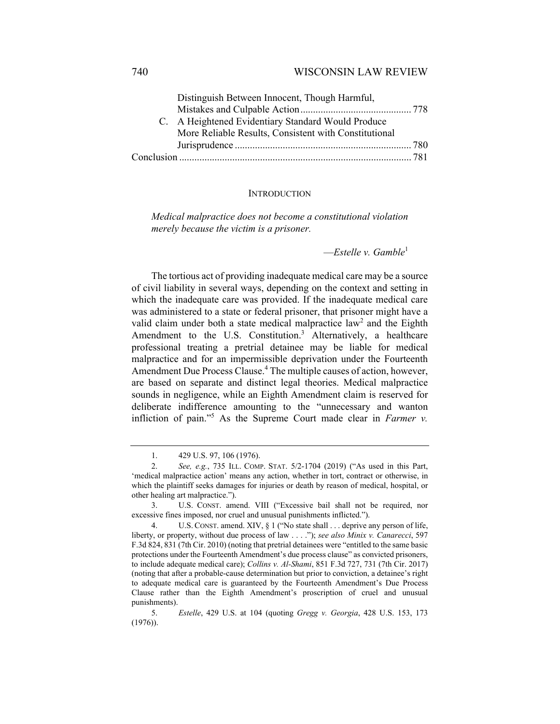#### 740 WISCONSIN LAW REVIEW

| Distinguish Between Innocent, Though Harmful,         |  |
|-------------------------------------------------------|--|
|                                                       |  |
| C. A Heightened Evidentiary Standard Would Produce    |  |
| More Reliable Results, Consistent with Constitutional |  |
|                                                       |  |
|                                                       |  |

#### INTRODUCTION

*Medical malpractice does not become a constitutional violation merely because the victim is a prisoner.* 

—*Estelle v. Gamble*<sup>1</sup>

The tortious act of providing inadequate medical care may be a source of civil liability in several ways, depending on the context and setting in which the inadequate care was provided. If the inadequate medical care was administered to a state or federal prisoner, that prisoner might have a valid claim under both a state medical malpractice law<sup>2</sup> and the Eighth Amendment to the U.S. Constitution.<sup>3</sup> Alternatively, a healthcare professional treating a pretrial detainee may be liable for medical malpractice and for an impermissible deprivation under the Fourteenth Amendment Due Process Clause.<sup>4</sup> The multiple causes of action, however, are based on separate and distinct legal theories. Medical malpractice sounds in negligence, while an Eighth Amendment claim is reserved for deliberate indifference amounting to the "unnecessary and wanton infliction of pain."5 As the Supreme Court made clear in *Farmer v.* 

 <sup>1. 429</sup> U.S. 97, 106 (1976).

 <sup>2.</sup> *See, e.g.*, 735 ILL. COMP. STAT. 5/2-1704 (2019) ("As used in this Part, 'medical malpractice action' means any action, whether in tort, contract or otherwise, in which the plaintiff seeks damages for injuries or death by reason of medical, hospital, or other healing art malpractice.").

 <sup>3.</sup> U.S. CONST. amend. VIII ("Excessive bail shall not be required, nor excessive fines imposed, nor cruel and unusual punishments inflicted.").

 <sup>4.</sup> U.S. CONST. amend. XIV, § 1 ("No state shall . . . deprive any person of life, liberty, or property, without due process of law . . . ."); *see also Minix v. Canarecci*, 597 F.3d 824, 831 (7th Cir. 2010) (noting that pretrial detainees were "entitled to the same basic protections under the Fourteenth Amendment's due process clause" as convicted prisoners, to include adequate medical care); *Collins v. Al-Shami*, 851 F.3d 727, 731 (7th Cir. 2017) (noting that after a probable-cause determination but prior to conviction, a detainee's right to adequate medical care is guaranteed by the Fourteenth Amendment's Due Process Clause rather than the Eighth Amendment's proscription of cruel and unusual punishments).

 <sup>5.</sup> *Estelle*, 429 U.S. at 104 (quoting *Gregg v. Georgia*, 428 U.S. 153, 173 (1976)).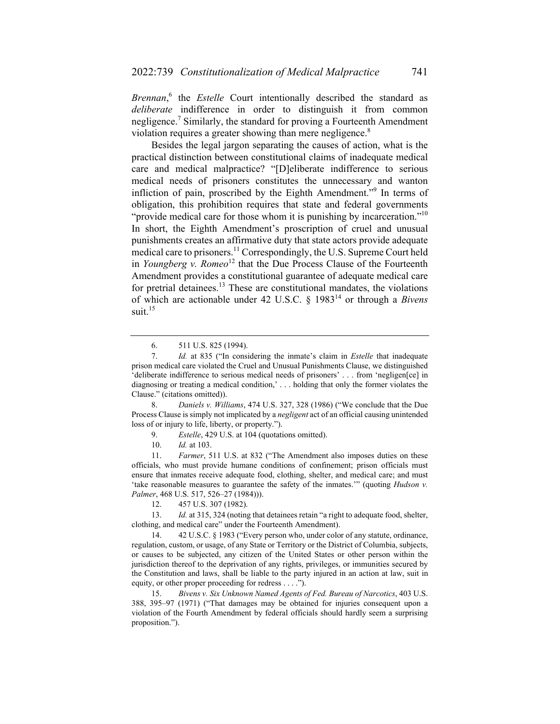*Brennan*, 6 the *Estelle* Court intentionally described the standard as *deliberate* indifference in order to distinguish it from common negligence.<sup>7</sup> Similarly, the standard for proving a Fourteenth Amendment violation requires a greater showing than mere negligence.<sup>8</sup>

Besides the legal jargon separating the causes of action, what is the practical distinction between constitutional claims of inadequate medical care and medical malpractice? "[D]eliberate indifference to serious medical needs of prisoners constitutes the unnecessary and wanton infliction of pain, proscribed by the Eighth Amendment."<sup>9</sup> In terms of obligation, this prohibition requires that state and federal governments "provide medical care for those whom it is punishing by incarceration."<sup>10</sup> In short, the Eighth Amendment's proscription of cruel and unusual punishments creates an affirmative duty that state actors provide adequate medical care to prisoners.<sup>11</sup> Correspondingly, the U.S. Supreme Court held in *Youngberg v. Romeo*<sup>12</sup> that the Due Process Clause of the Fourteenth Amendment provides a constitutional guarantee of adequate medical care for pretrial detainees.<sup>13</sup> These are constitutional mandates, the violations of which are actionable under 42 U.S.C. § 198314 or through a *Bivens* suit. $15$ 

 8. *Daniels v. Williams*, 474 U.S. 327, 328 (1986) ("We conclude that the Due Process Clause is simply not implicated by a *negligent* act of an official causing unintended loss of or injury to life, liberty, or property.").

9. *Estelle*, 429 U.S. at 104 (quotations omitted).

10. *Id.* at 103.

 11. *Farmer*, 511 U.S. at 832 ("The Amendment also imposes duties on these officials, who must provide humane conditions of confinement; prison officials must ensure that inmates receive adequate food, clothing, shelter, and medical care; and must 'take reasonable measures to guarantee the safety of the inmates.'" (quoting *Hudson v. Palmer*, 468 U.S. 517, 526–27 (1984))).

12. 457 U.S. 307 (1982).

 13. *Id.* at 315, 324 (noting that detainees retain "a right to adequate food, shelter, clothing, and medical care" under the Fourteenth Amendment).

 14. 42 U.S.C. § 1983 ("Every person who, under color of any statute, ordinance, regulation, custom, or usage, of any State or Territory or the District of Columbia, subjects, or causes to be subjected, any citizen of the United States or other person within the jurisdiction thereof to the deprivation of any rights, privileges, or immunities secured by the Constitution and laws, shall be liable to the party injured in an action at law, suit in equity, or other proper proceeding for redress . . . .").

 15. *Bivens v. Six Unknown Named Agents of Fed. Bureau of Narcotics*, 403 U.S. 388, 395–97 (1971) ("That damages may be obtained for injuries consequent upon a violation of the Fourth Amendment by federal officials should hardly seem a surprising proposition.").

 <sup>6. 511</sup> U.S. 825 (1994).

 <sup>7.</sup> *Id.* at 835 ("In considering the inmate's claim in *Estelle* that inadequate prison medical care violated the Cruel and Unusual Punishments Clause, we distinguished 'deliberate indifference to serious medical needs of prisoners' . . . from 'negligen[ce] in diagnosing or treating a medical condition,' . . . holding that only the former violates the Clause." (citations omitted)).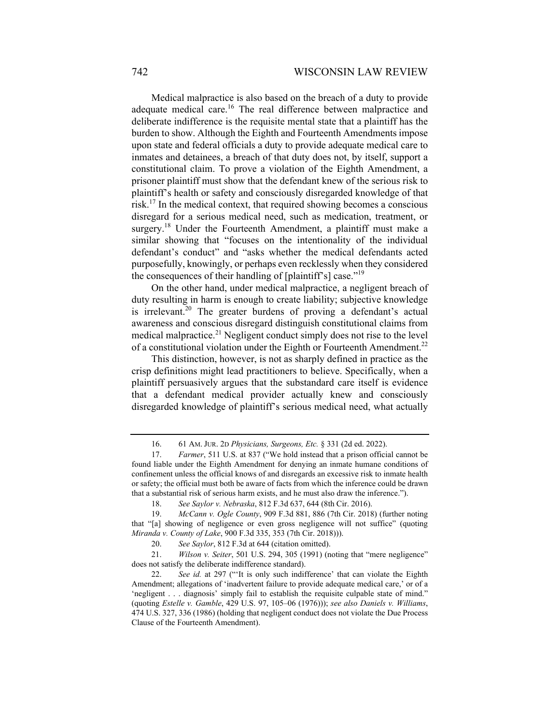Medical malpractice is also based on the breach of a duty to provide adequate medical care.<sup>16</sup> The real difference between malpractice and deliberate indifference is the requisite mental state that a plaintiff has the burden to show. Although the Eighth and Fourteenth Amendments impose upon state and federal officials a duty to provide adequate medical care to inmates and detainees, a breach of that duty does not, by itself, support a constitutional claim. To prove a violation of the Eighth Amendment, a prisoner plaintiff must show that the defendant knew of the serious risk to plaintiff's health or safety and consciously disregarded knowledge of that risk.17 In the medical context, that required showing becomes a conscious disregard for a serious medical need, such as medication, treatment, or surgery.<sup>18</sup> Under the Fourteenth Amendment, a plaintiff must make a similar showing that "focuses on the intentionality of the individual defendant's conduct" and "asks whether the medical defendants acted purposefully, knowingly, or perhaps even recklessly when they considered the consequences of their handling of [plaintiff's] case."<sup>19</sup>

On the other hand, under medical malpractice, a negligent breach of duty resulting in harm is enough to create liability; subjective knowledge is irrelevant.<sup>20</sup> The greater burdens of proving a defendant's actual awareness and conscious disregard distinguish constitutional claims from medical malpractice.<sup>21</sup> Negligent conduct simply does not rise to the level of a constitutional violation under the Eighth or Fourteenth Amendment.<sup>22</sup>

This distinction, however, is not as sharply defined in practice as the crisp definitions might lead practitioners to believe. Specifically, when a plaintiff persuasively argues that the substandard care itself is evidence that a defendant medical provider actually knew and consciously disregarded knowledge of plaintiff's serious medical need, what actually

 <sup>16. 61</sup> AM. JUR. 2D *Physicians, Surgeons, Etc.* § 331 (2d ed. 2022).

 <sup>17.</sup> *Farmer*, 511 U.S. at 837 ("We hold instead that a prison official cannot be found liable under the Eighth Amendment for denying an inmate humane conditions of confinement unless the official knows of and disregards an excessive risk to inmate health or safety; the official must both be aware of facts from which the inference could be drawn that a substantial risk of serious harm exists, and he must also draw the inference.").

 <sup>18.</sup> *See Saylor v. Nebraska*, 812 F.3d 637, 644 (8th Cir. 2016).

 <sup>19.</sup> *McCann v. Ogle County*, 909 F.3d 881, 886 (7th Cir. 2018) (further noting that "[a] showing of negligence or even gross negligence will not suffice" (quoting *Miranda v. County of Lake*, 900 F.3d 335, 353 (7th Cir. 2018))).

 <sup>20.</sup> *See Saylor*, 812 F.3d at 644 (citation omitted).

 <sup>21.</sup> *Wilson v. Seiter*, 501 U.S. 294, 305 (1991) (noting that "mere negligence" does not satisfy the deliberate indifference standard).

 <sup>22.</sup> *See id.* at 297 ("'It is only such indifference' that can violate the Eighth Amendment; allegations of 'inadvertent failure to provide adequate medical care,' or of a 'negligent . . . diagnosis' simply fail to establish the requisite culpable state of mind." (quoting *Estelle v. Gamble*, 429 U.S. 97, 105–06 (1976))); *see also Daniels v. Williams*, 474 U.S. 327, 336 (1986) (holding that negligent conduct does not violate the Due Process Clause of the Fourteenth Amendment).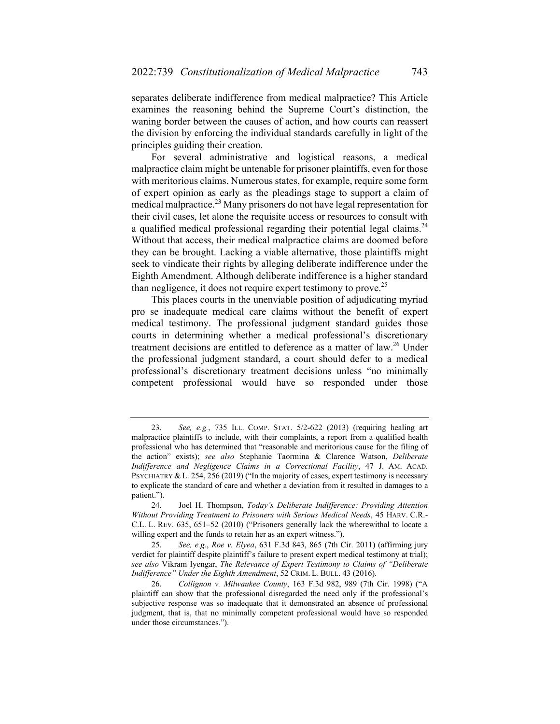separates deliberate indifference from medical malpractice? This Article examines the reasoning behind the Supreme Court's distinction, the waning border between the causes of action, and how courts can reassert the division by enforcing the individual standards carefully in light of the principles guiding their creation.

For several administrative and logistical reasons, a medical malpractice claim might be untenable for prisoner plaintiffs, even for those with meritorious claims. Numerous states, for example, require some form of expert opinion as early as the pleadings stage to support a claim of medical malpractice.<sup>23</sup> Many prisoners do not have legal representation for their civil cases, let alone the requisite access or resources to consult with a qualified medical professional regarding their potential legal claims.<sup>24</sup> Without that access, their medical malpractice claims are doomed before they can be brought. Lacking a viable alternative, those plaintiffs might seek to vindicate their rights by alleging deliberate indifference under the Eighth Amendment. Although deliberate indifference is a higher standard than negligence, it does not require expert testimony to prove.<sup>25</sup>

This places courts in the unenviable position of adjudicating myriad pro se inadequate medical care claims without the benefit of expert medical testimony. The professional judgment standard guides those courts in determining whether a medical professional's discretionary treatment decisions are entitled to deference as a matter of law.<sup>26</sup> Under the professional judgment standard, a court should defer to a medical professional's discretionary treatment decisions unless "no minimally competent professional would have so responded under those

 <sup>23.</sup> *See, e.g.*, 735 ILL. COMP. STAT. 5/2-622 (2013) (requiring healing art malpractice plaintiffs to include, with their complaints, a report from a qualified health professional who has determined that "reasonable and meritorious cause for the filing of the action" exists); *see also* Stephanie Taormina & Clarence Watson, *Deliberate Indifference and Negligence Claims in a Correctional Facility*, 47 J. AM. ACAD. PSYCHIATRY & L. 254, 256 (2019) ("In the majority of cases, expert testimony is necessary to explicate the standard of care and whether a deviation from it resulted in damages to a patient.").

 <sup>24.</sup> Joel H. Thompson, *Today's Deliberate Indifference: Providing Attention Without Providing Treatment to Prisoners with Serious Medical Needs*, 45 HARV. C.R.- C.L. L. REV. 635, 651–52 (2010) ("Prisoners generally lack the wherewithal to locate a willing expert and the funds to retain her as an expert witness.").

 <sup>25.</sup> *See, e.g.*, *Roe v. Elyea*, 631 F.3d 843, 865 (7th Cir. 2011) (affirming jury verdict for plaintiff despite plaintiff's failure to present expert medical testimony at trial); *see also* Vikram Iyengar, *The Relevance of Expert Testimony to Claims of "Deliberate Indifference" Under the Eighth Amendment*, 52 CRIM. L. BULL. 43 (2016).

 <sup>26.</sup> *Collignon v. Milwaukee County*, 163 F.3d 982, 989 (7th Cir. 1998) ("A plaintiff can show that the professional disregarded the need only if the professional's subjective response was so inadequate that it demonstrated an absence of professional judgment, that is, that no minimally competent professional would have so responded under those circumstances.").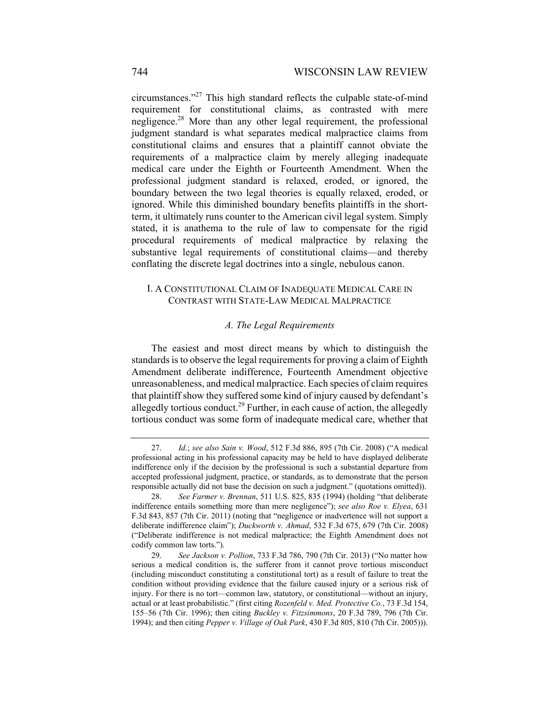circumstances."27 This high standard reflects the culpable state-of-mind requirement for constitutional claims, as contrasted with mere negligence.28 More than any other legal requirement, the professional judgment standard is what separates medical malpractice claims from constitutional claims and ensures that a plaintiff cannot obviate the requirements of a malpractice claim by merely alleging inadequate medical care under the Eighth or Fourteenth Amendment. When the professional judgment standard is relaxed, eroded, or ignored, the boundary between the two legal theories is equally relaxed, eroded, or ignored. While this diminished boundary benefits plaintiffs in the shortterm, it ultimately runs counter to the American civil legal system. Simply stated, it is anathema to the rule of law to compensate for the rigid procedural requirements of medical malpractice by relaxing the substantive legal requirements of constitutional claims—and thereby conflating the discrete legal doctrines into a single, nebulous canon.

#### I. A CONSTITUTIONAL CLAIM OF INADEQUATE MEDICAL CARE IN CONTRAST WITH STATE-LAW MEDICAL MALPRACTICE

#### *A. The Legal Requirements*

The easiest and most direct means by which to distinguish the standards is to observe the legal requirements for proving a claim of Eighth Amendment deliberate indifference, Fourteenth Amendment objective unreasonableness, and medical malpractice. Each species of claim requires that plaintiff show they suffered some kind of injury caused by defendant's allegedly tortious conduct.<sup>29</sup> Further, in each cause of action, the allegedly tortious conduct was some form of inadequate medical care, whether that

 <sup>27.</sup> *Id.*; *see also Sain v. Wood*, 512 F.3d 886, 895 (7th Cir. 2008) ("A medical professional acting in his professional capacity may be held to have displayed deliberate indifference only if the decision by the professional is such a substantial departure from accepted professional judgment, practice, or standards, as to demonstrate that the person responsible actually did not base the decision on such a judgment." (quotations omitted)).

 <sup>28.</sup> *See Farmer v. Brennan*, 511 U.S. 825, 835 (1994) (holding "that deliberate indifference entails something more than mere negligence"); *see also Roe v. Elyea*, 631 F.3d 843, 857 (7th Cir. 2011) (noting that "negligence or inadvertence will not support a deliberate indifference claim"); *Duckworth v. Ahmad*, 532 F.3d 675, 679 (7th Cir. 2008) ("Deliberate indifference is not medical malpractice; the Eighth Amendment does not codify common law torts.").

 <sup>29.</sup> *See Jackson v. Pollion*, 733 F.3d 786, 790 (7th Cir. 2013) ("No matter how serious a medical condition is, the sufferer from it cannot prove tortious misconduct (including misconduct constituting a constitutional tort) as a result of failure to treat the condition without providing evidence that the failure caused injury or a serious risk of injury. For there is no tort—common law, statutory, or constitutional—without an injury, actual or at least probabilistic." (first citing *Rozenfeld v. Med. Protective Co.*, 73 F.3d 154, 155–56 (7th Cir. 1996); then citing *Buckley v. Fitzsimmons*, 20 F.3d 789, 796 (7th Cir. 1994); and then citing *Pepper v. Village of Oak Park*, 430 F.3d 805, 810 (7th Cir. 2005))).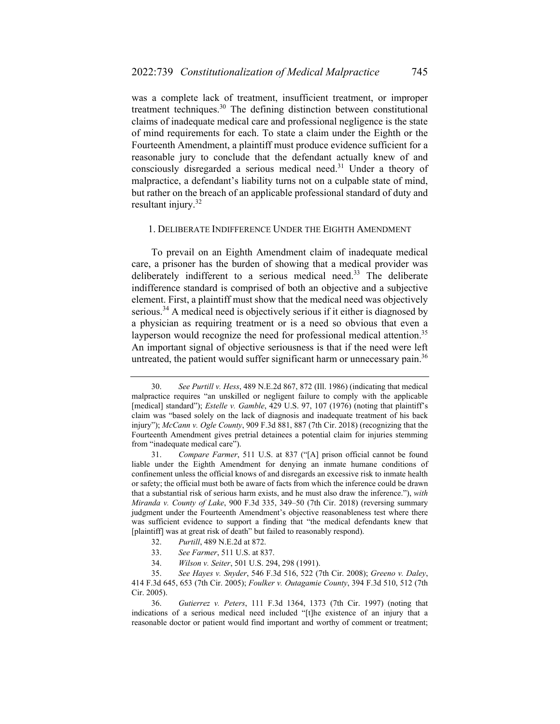was a complete lack of treatment, insufficient treatment, or improper treatment techniques.30 The defining distinction between constitutional claims of inadequate medical care and professional negligence is the state of mind requirements for each. To state a claim under the Eighth or the Fourteenth Amendment, a plaintiff must produce evidence sufficient for a reasonable jury to conclude that the defendant actually knew of and consciously disregarded a serious medical need.<sup>31</sup> Under a theory of malpractice, a defendant's liability turns not on a culpable state of mind, but rather on the breach of an applicable professional standard of duty and resultant injury.32

#### 1. DELIBERATE INDIFFERENCE UNDER THE EIGHTH AMENDMENT

To prevail on an Eighth Amendment claim of inadequate medical care, a prisoner has the burden of showing that a medical provider was deliberately indifferent to a serious medical need.<sup>33</sup> The deliberate indifference standard is comprised of both an objective and a subjective element. First, a plaintiff must show that the medical need was objectively serious.<sup>34</sup> A medical need is objectively serious if it either is diagnosed by a physician as requiring treatment or is a need so obvious that even a layperson would recognize the need for professional medical attention.<sup>35</sup> An important signal of objective seriousness is that if the need were left untreated, the patient would suffer significant harm or unnecessary pain.<sup>36</sup>

- 32. *Purtill*, 489 N.E.2d at 872.
- 33. *See Farmer*, 511 U.S. at 837.
- 34. *Wilson v. Seiter*, 501 U.S. 294, 298 (1991).

 <sup>30.</sup> *See Purtill v. Hess*, 489 N.E.2d 867, 872 (Ill. 1986) (indicating that medical malpractice requires "an unskilled or negligent failure to comply with the applicable [medical] standard"); *Estelle v. Gamble*, 429 U.S. 97, 107 (1976) (noting that plaintiff's claim was "based solely on the lack of diagnosis and inadequate treatment of his back injury"); *McCann v. Ogle County*, 909 F.3d 881, 887 (7th Cir. 2018) (recognizing that the Fourteenth Amendment gives pretrial detainees a potential claim for injuries stemming from "inadequate medical care").

 <sup>31.</sup> *Compare Farmer*, 511 U.S. at 837 ("[A] prison official cannot be found liable under the Eighth Amendment for denying an inmate humane conditions of confinement unless the official knows of and disregards an excessive risk to inmate health or safety; the official must both be aware of facts from which the inference could be drawn that a substantial risk of serious harm exists, and he must also draw the inference."), *with Miranda v. County of Lake*, 900 F.3d 335, 349–50 (7th Cir. 2018) (reversing summary judgment under the Fourteenth Amendment's objective reasonableness test where there was sufficient evidence to support a finding that "the medical defendants knew that [plaintiff] was at great risk of death" but failed to reasonably respond).

 <sup>35.</sup> *See Hayes v. Snyder*, 546 F.3d 516, 522 (7th Cir. 2008); *Greeno v. Daley*, 414 F.3d 645, 653 (7th Cir. 2005); *Foulker v. Outagamie County*, 394 F.3d 510, 512 (7th Cir. 2005).

 <sup>36.</sup> *Gutierrez v. Peters*, 111 F.3d 1364, 1373 (7th Cir. 1997) (noting that indications of a serious medical need included "[t]he existence of an injury that a reasonable doctor or patient would find important and worthy of comment or treatment;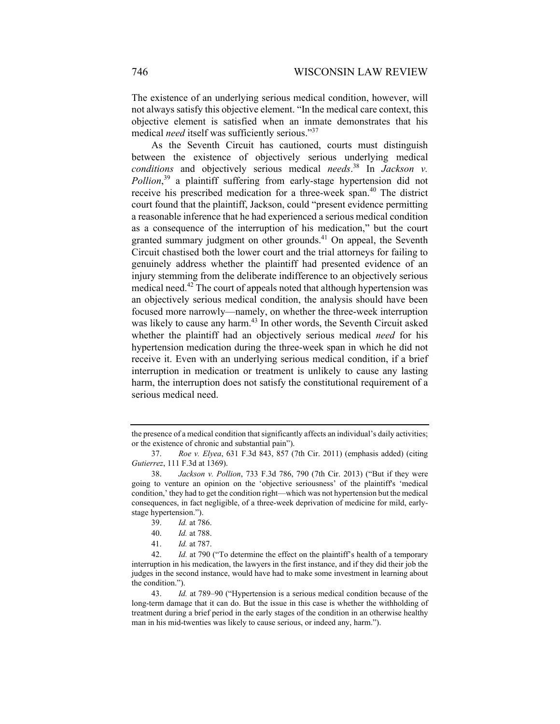The existence of an underlying serious medical condition, however, will not always satisfy this objective element. "In the medical care context, this objective element is satisfied when an inmate demonstrates that his medical *need* itself was sufficiently serious."<sup>37</sup>

As the Seventh Circuit has cautioned, courts must distinguish between the existence of objectively serious underlying medical *conditions* and objectively serious medical *needs*. 38 In *Jackson v. Pollion*, 39 a plaintiff suffering from early-stage hypertension did not receive his prescribed medication for a three-week span.40 The district court found that the plaintiff, Jackson, could "present evidence permitting a reasonable inference that he had experienced a serious medical condition as a consequence of the interruption of his medication," but the court granted summary judgment on other grounds. $41$  On appeal, the Seventh Circuit chastised both the lower court and the trial attorneys for failing to genuinely address whether the plaintiff had presented evidence of an injury stemming from the deliberate indifference to an objectively serious medical need.<sup>42</sup> The court of appeals noted that although hypertension was an objectively serious medical condition, the analysis should have been focused more narrowly—namely, on whether the three-week interruption was likely to cause any harm.<sup>43</sup> In other words, the Seventh Circuit asked whether the plaintiff had an objectively serious medical *need* for his hypertension medication during the three-week span in which he did not receive it. Even with an underlying serious medical condition, if a brief interruption in medication or treatment is unlikely to cause any lasting harm, the interruption does not satisfy the constitutional requirement of a serious medical need.

the presence of a medical condition that significantly affects an individual's daily activities; or the existence of chronic and substantial pain").

 <sup>37.</sup> *Roe v. Elyea*, 631 F.3d 843, 857 (7th Cir. 2011) (emphasis added) (citing *Gutierrez*, 111 F.3d at 1369).

 <sup>38.</sup> *Jackson v. Pollion*, 733 F.3d 786, 790 (7th Cir. 2013) ("But if they were going to venture an opinion on the 'objective seriousness' of the plaintiff's 'medical condition,' they had to get the condition right—which was not hypertension but the medical consequences, in fact negligible, of a three-week deprivation of medicine for mild, earlystage hypertension.").

 <sup>39.</sup> *Id.* at 786.

 <sup>40.</sup> *Id.* at 788.

 <sup>41.</sup> *Id.* at 787.

 <sup>42.</sup> *Id.* at 790 ("To determine the effect on the plaintiff's health of a temporary interruption in his medication, the lawyers in the first instance, and if they did their job the judges in the second instance, would have had to make some investment in learning about the condition.").

 <sup>43.</sup> *Id.* at 789–90 ("Hypertension is a serious medical condition because of the long-term damage that it can do. But the issue in this case is whether the withholding of treatment during a brief period in the early stages of the condition in an otherwise healthy man in his mid-twenties was likely to cause serious, or indeed any, harm.").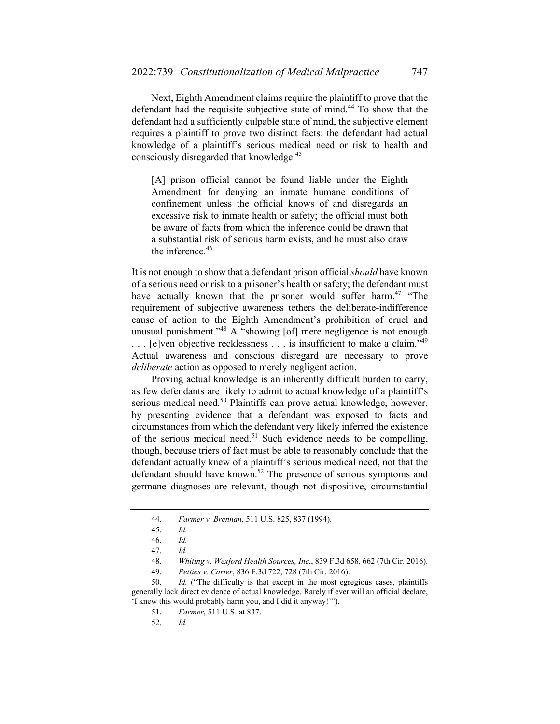Next, Eighth Amendment claims require the plaintiff to prove that the defendant had the requisite subjective state of mind.<sup>44</sup> To show that the defendant had a sufficiently culpable state of mind, the subjective element requires a plaintiff to prove two distinct facts: the defendant had actual knowledge of a plaintiff's serious medical need or risk to health and consciously disregarded that knowledge.<sup>45</sup>

[A] prison official cannot be found liable under the Eighth Amendment for denying an inmate humane conditions of confinement unless the official knows of and disregards an excessive risk to inmate health or safety; the official must both be aware of facts from which the inference could be drawn that a substantial risk of serious harm exists, and he must also draw the inference.<sup>46</sup>

It is not enough to show that a defendant prison official *should* have known of a serious need or risk to a prisoner's health or safety; the defendant must have actually known that the prisoner would suffer harm.<sup>47</sup> "The requirement of subjective awareness tethers the deliberate-indifference cause of action to the Eighth Amendment's prohibition of cruel and unusual punishment."<sup>48</sup> A "showing [of] mere negligence is not enough ... [e]ven objective recklessness ... is insufficient to make a claim."<sup>49</sup> Actual awareness and conscious disregard are necessary to prove *deliberate* action as opposed to merely negligent action.

Proving actual knowledge is an inherently difficult burden to carry, as few defendants are likely to admit to actual knowledge of a plaintiff's serious medical need.<sup>50</sup> Plaintiffs can prove actual knowledge, however, by presenting evidence that a defendant was exposed to facts and circumstances from which the defendant very likely inferred the existence of the serious medical need.<sup>51</sup> Such evidence needs to be compelling, though, because triers of fact must be able to reasonably conclude that the defendant actually knew of a plaintiff's serious medical need, not that the defendant should have known.<sup>52</sup> The presence of serious symptoms and germane diagnoses are relevant, though not dispositive, circumstantial

49. *Petties v. Carter*, 836 F.3d 722, 728 (7th Cir. 2016).

 50. *Id.* ("The difficulty is that except in the most egregious cases, plaintiffs generally lack direct evidence of actual knowledge. Rarely if ever will an official declare, 'I knew this would probably harm you, and I did it anyway!'").

 <sup>44.</sup> *Farmer v. Brennan*, 511 U.S. 825, 837 (1994).

 <sup>45.</sup> *Id.* 

 <sup>46.</sup> *Id.*

 <sup>47.</sup> *Id.*

 <sup>48.</sup> *Whiting v. Wexford Health Sources, Inc.*, 839 F.3d 658, 662 (7th Cir. 2016).

 <sup>51.</sup> *Farmer*, 511 U.S. at 837.

 <sup>52.</sup> *Id.*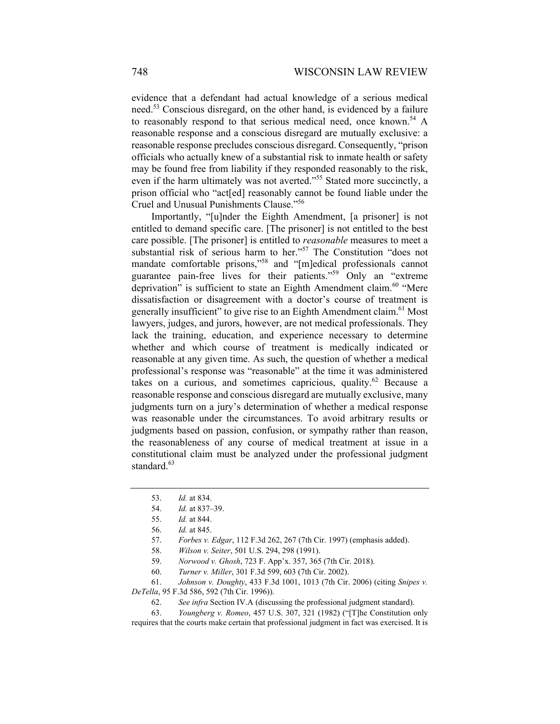evidence that a defendant had actual knowledge of a serious medical need.<sup>53</sup> Conscious disregard, on the other hand, is evidenced by a failure to reasonably respond to that serious medical need, once known.<sup>54</sup> A reasonable response and a conscious disregard are mutually exclusive: a reasonable response precludes conscious disregard. Consequently, "prison officials who actually knew of a substantial risk to inmate health or safety may be found free from liability if they responded reasonably to the risk, even if the harm ultimately was not averted."<sup>55</sup> Stated more succinctly, a prison official who "act[ed] reasonably cannot be found liable under the Cruel and Unusual Punishments Clause."56

Importantly, "[u]nder the Eighth Amendment, [a prisoner] is not entitled to demand specific care. [The prisoner] is not entitled to the best care possible. [The prisoner] is entitled to *reasonable* measures to meet a substantial risk of serious harm to her."<sup>57</sup> The Constitution "does not mandate comfortable prisons,"58 and "[m]edical professionals cannot guarantee pain-free lives for their patients."<sup>59</sup> Only an "extreme" deprivation" is sufficient to state an Eighth Amendment claim.<sup>60</sup> "Mere dissatisfaction or disagreement with a doctor's course of treatment is generally insufficient" to give rise to an Eighth Amendment claim.<sup>61</sup> Most lawyers, judges, and jurors, however, are not medical professionals. They lack the training, education, and experience necessary to determine whether and which course of treatment is medically indicated or reasonable at any given time. As such, the question of whether a medical professional's response was "reasonable" at the time it was administered takes on a curious, and sometimes capricious, quality.<sup>62</sup> Because a reasonable response and conscious disregard are mutually exclusive, many judgments turn on a jury's determination of whether a medical response was reasonable under the circumstances. To avoid arbitrary results or judgments based on passion, confusion, or sympathy rather than reason, the reasonableness of any course of medical treatment at issue in a constitutional claim must be analyzed under the professional judgment standard.<sup>63</sup>

 <sup>53.</sup> *Id.* at 834.

 <sup>54.</sup> *Id.* at 837–39.

 <sup>55.</sup> *Id.* at 844.

 <sup>56.</sup> *Id.* at 845.

 <sup>57.</sup> *Forbes v. Edgar*, 112 F.3d 262, 267 (7th Cir. 1997) (emphasis added).

 <sup>58.</sup> *Wilson v. Seiter*, 501 U.S. 294, 298 (1991).

 <sup>59.</sup> *Norwood v. Ghosh*, 723 F. App'x. 357, 365 (7th Cir. 2018).

 <sup>60.</sup> *Turner v. Miller*, 301 F.3d 599, 603 (7th Cir. 2002).

 <sup>61.</sup> *Johnson v. Doughty*, 433 F.3d 1001, 1013 (7th Cir. 2006) (citing *Snipes v. DeTella*, 95 F.3d 586, 592 (7th Cir. 1996)).

 <sup>62.</sup> *See infra* Section IV.A (discussing the professional judgment standard).

 <sup>63.</sup> *Youngberg v. Romeo*, 457 U.S. 307, 321 (1982) ("[T]he Constitution only requires that the courts make certain that professional judgment in fact was exercised. It is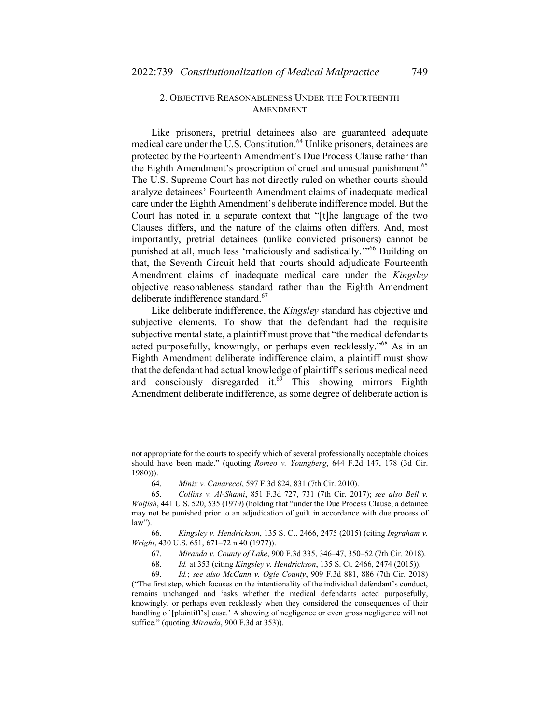### 2. OBJECTIVE REASONABLENESS UNDER THE FOURTEENTH AMENDMENT

Like prisoners, pretrial detainees also are guaranteed adequate medical care under the U.S. Constitution.<sup>64</sup> Unlike prisoners, detainees are protected by the Fourteenth Amendment's Due Process Clause rather than the Eighth Amendment's proscription of cruel and unusual punishment.<sup>65</sup> The U.S. Supreme Court has not directly ruled on whether courts should analyze detainees' Fourteenth Amendment claims of inadequate medical care under the Eighth Amendment's deliberate indifference model. But the Court has noted in a separate context that "[t]he language of the two Clauses differs, and the nature of the claims often differs. And, most importantly, pretrial detainees (unlike convicted prisoners) cannot be punished at all, much less 'maliciously and sadistically.'"66 Building on that, the Seventh Circuit held that courts should adjudicate Fourteenth Amendment claims of inadequate medical care under the *Kingsley* objective reasonableness standard rather than the Eighth Amendment deliberate indifference standard.<sup>67</sup>

Like deliberate indifference, the *Kingsley* standard has objective and subjective elements. To show that the defendant had the requisite subjective mental state, a plaintiff must prove that "the medical defendants acted purposefully, knowingly, or perhaps even recklessly."68 As in an Eighth Amendment deliberate indifference claim, a plaintiff must show that the defendant had actual knowledge of plaintiff's serious medical need and consciously disregarded it. $69$  This showing mirrors Eighth Amendment deliberate indifference, as some degree of deliberate action is

not appropriate for the courts to specify which of several professionally acceptable choices should have been made." (quoting *Romeo v. Youngberg*, 644 F.2d 147, 178 (3d Cir. 1980))).

 <sup>64.</sup> *Minix v. Canarecci*, 597 F.3d 824, 831 (7th Cir. 2010).

 <sup>65.</sup> *Collins v. Al-Shami*, 851 F.3d 727, 731 (7th Cir. 2017); *see also Bell v. Wolfish*, 441 U.S. 520, 535 (1979) (holding that "under the Due Process Clause, a detainee may not be punished prior to an adjudication of guilt in accordance with due process of law").

 <sup>66.</sup> *Kingsley v. Hendrickson*, 135 S. Ct. 2466, 2475 (2015) (citing *Ingraham v. Wright*, 430 U.S. 651, 671–72 n.40 (1977)).

 <sup>67.</sup> *Miranda v. County of Lake*, 900 F.3d 335, 346–47, 350–52 (7th Cir. 2018).

 <sup>68.</sup> *Id.* at 353 (citing *Kingsley v. Hendrickson*, 135 S. Ct. 2466, 2474 (2015)).

 <sup>69.</sup> *Id.*; *see also McCann v. Ogle County*, 909 F.3d 881, 886 (7th Cir. 2018) ("The first step, which focuses on the intentionality of the individual defendant's conduct, remains unchanged and 'asks whether the medical defendants acted purposefully, knowingly, or perhaps even recklessly when they considered the consequences of their handling of [plaintiff's] case.' A showing of negligence or even gross negligence will not suffice." (quoting *Miranda*, 900 F.3d at 353)).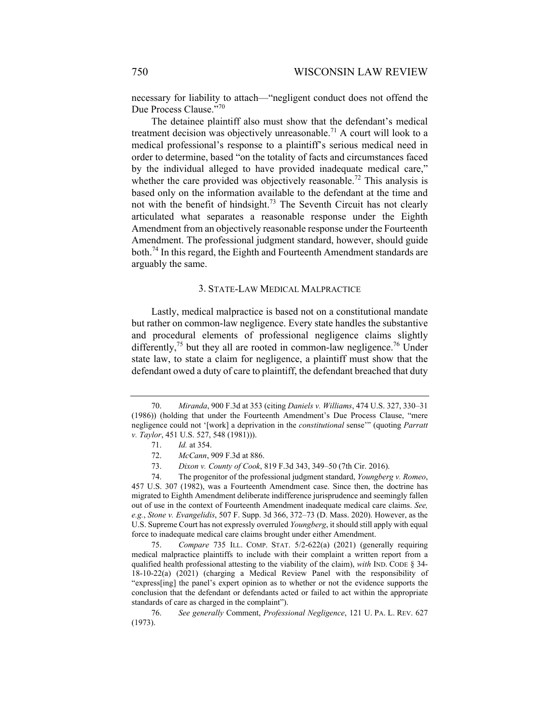necessary for liability to attach—"negligent conduct does not offend the Due Process Clause."<sup>70</sup>

The detainee plaintiff also must show that the defendant's medical treatment decision was objectively unreasonable.<sup>71</sup> A court will look to a medical professional's response to a plaintiff's serious medical need in order to determine, based "on the totality of facts and circumstances faced by the individual alleged to have provided inadequate medical care," whether the care provided was objectively reasonable.<sup>72</sup> This analysis is based only on the information available to the defendant at the time and not with the benefit of hindsight.<sup>73</sup> The Seventh Circuit has not clearly articulated what separates a reasonable response under the Eighth Amendment from an objectively reasonable response under the Fourteenth Amendment. The professional judgment standard, however, should guide both.<sup>74</sup> In this regard, the Eighth and Fourteenth Amendment standards are arguably the same.

#### 3. STATE-LAW MEDICAL MALPRACTICE

Lastly, medical malpractice is based not on a constitutional mandate but rather on common-law negligence. Every state handles the substantive and procedural elements of professional negligence claims slightly differently,<sup>75</sup> but they all are rooted in common-law negligence.<sup>76</sup> Under state law, to state a claim for negligence, a plaintiff must show that the defendant owed a duty of care to plaintiff, the defendant breached that duty

 <sup>70.</sup> *Miranda*, 900 F.3d at 353 (citing *Daniels v. Williams*, 474 U.S. 327, 330–31 (1986)) (holding that under the Fourteenth Amendment's Due Process Clause, "mere negligence could not '[work] a deprivation in the *constitutional* sense'" (quoting *Parratt v. Taylor*, 451 U.S. 527, 548 (1981))).

 <sup>71.</sup> *Id.* at 354.

 <sup>72.</sup> *McCann*, 909 F.3d at 886.

 <sup>73.</sup> *Dixon v. County of Cook*, 819 F.3d 343, 349–50 (7th Cir. 2016).

 <sup>74.</sup> The progenitor of the professional judgment standard, *Youngberg v. Romeo*, 457 U.S. 307 (1982), was a Fourteenth Amendment case. Since then, the doctrine has migrated to Eighth Amendment deliberate indifference jurisprudence and seemingly fallen out of use in the context of Fourteenth Amendment inadequate medical care claims. *See, e.g.*, *Stone v. Evangelidis*, 507 F. Supp. 3d 366, 372–73 (D. Mass. 2020). However, as the U.S. Supreme Court has not expressly overruled *Youngberg*, it should still apply with equal force to inadequate medical care claims brought under either Amendment.

 <sup>75.</sup> *Compare* 735 ILL. COMP. STAT. 5/2-622(a) (2021) (generally requiring medical malpractice plaintiffs to include with their complaint a written report from a qualified health professional attesting to the viability of the claim), *with* IND. CODE § 34- 18-10-22(a) (2021) (charging a Medical Review Panel with the responsibility of "express[ing] the panel's expert opinion as to whether or not the evidence supports the conclusion that the defendant or defendants acted or failed to act within the appropriate standards of care as charged in the complaint").

 <sup>76.</sup> *See generally* Comment, *Professional Negligence*, 121 U. PA. L. REV. 627 (1973).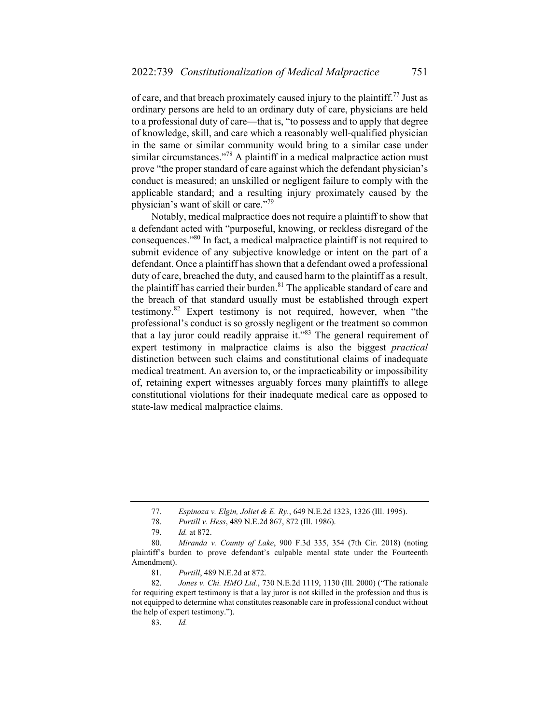of care, and that breach proximately caused injury to the plaintiff.<sup>77</sup> Just as ordinary persons are held to an ordinary duty of care, physicians are held to a professional duty of care—that is, "to possess and to apply that degree of knowledge, skill, and care which a reasonably well-qualified physician in the same or similar community would bring to a similar case under similar circumstances."<sup>78</sup> A plaintiff in a medical malpractice action must prove "the proper standard of care against which the defendant physician's conduct is measured; an unskilled or negligent failure to comply with the applicable standard; and a resulting injury proximately caused by the physician's want of skill or care."<sup>79</sup>

Notably, medical malpractice does not require a plaintiff to show that a defendant acted with "purposeful, knowing, or reckless disregard of the consequences."80 In fact, a medical malpractice plaintiff is not required to submit evidence of any subjective knowledge or intent on the part of a defendant. Once a plaintiff has shown that a defendant owed a professional duty of care, breached the duty, and caused harm to the plaintiff as a result, the plaintiff has carried their burden. $81$  The applicable standard of care and the breach of that standard usually must be established through expert testimony.82 Expert testimony is not required, however, when "the professional's conduct is so grossly negligent or the treatment so common that a lay juror could readily appraise it."83 The general requirement of expert testimony in malpractice claims is also the biggest *practical*  distinction between such claims and constitutional claims of inadequate medical treatment. An aversion to, or the impracticability or impossibility of, retaining expert witnesses arguably forces many plaintiffs to allege constitutional violations for their inadequate medical care as opposed to state-law medical malpractice claims.

 <sup>77.</sup> *Espinoza v. Elgin, Joliet & E. Ry.*, 649 N.E.2d 1323, 1326 (Ill. 1995).

 <sup>78.</sup> *Purtill v. Hess*, 489 N.E.2d 867, 872 (Ill. 1986).

 <sup>79.</sup> *Id.* at 872.

 <sup>80.</sup> *Miranda v. County of Lake*, 900 F.3d 335, 354 (7th Cir. 2018) (noting plaintiff's burden to prove defendant's culpable mental state under the Fourteenth Amendment).

 <sup>81.</sup> *Purtill*, 489 N.E.2d at 872.

 <sup>82.</sup> *Jones v. Chi. HMO Ltd.*, 730 N.E.2d 1119, 1130 (Ill. 2000) ("The rationale for requiring expert testimony is that a lay juror is not skilled in the profession and thus is not equipped to determine what constitutes reasonable care in professional conduct without the help of expert testimony.").

 <sup>83.</sup> *Id.*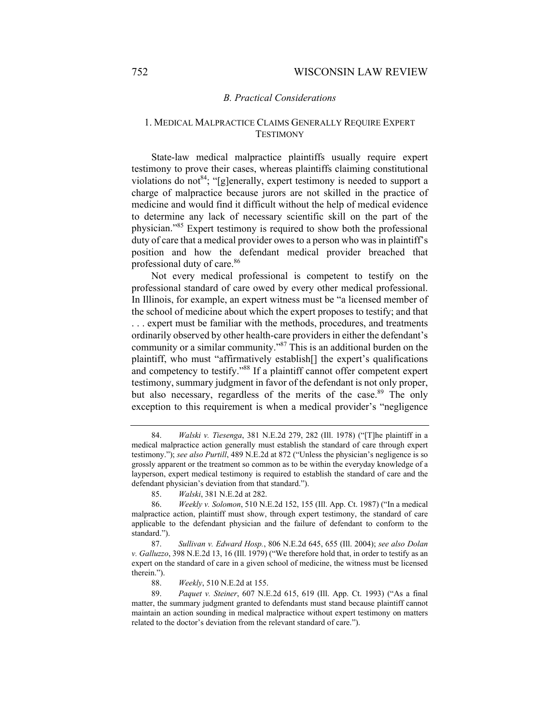#### *B. Practical Considerations*

### 1. MEDICAL MALPRACTICE CLAIMS GENERALLY REQUIRE EXPERT **TESTIMONY**

State-law medical malpractice plaintiffs usually require expert testimony to prove their cases, whereas plaintiffs claiming constitutional violations do not<sup>84</sup>; "[g]enerally, expert testimony is needed to support a charge of malpractice because jurors are not skilled in the practice of medicine and would find it difficult without the help of medical evidence to determine any lack of necessary scientific skill on the part of the physician."85 Expert testimony is required to show both the professional duty of care that a medical provider owes to a person who was in plaintiff's position and how the defendant medical provider breached that professional duty of care.<sup>86</sup>

Not every medical professional is competent to testify on the professional standard of care owed by every other medical professional. In Illinois, for example, an expert witness must be "a licensed member of the school of medicine about which the expert proposes to testify; and that . . . expert must be familiar with the methods, procedures, and treatments ordinarily observed by other health-care providers in either the defendant's community or a similar community."87 This is an additional burden on the plaintiff, who must "affirmatively establish[] the expert's qualifications and competency to testify."88 If a plaintiff cannot offer competent expert testimony, summary judgment in favor of the defendant is not only proper, but also necessary, regardless of the merits of the case.<sup>89</sup> The only exception to this requirement is when a medical provider's "negligence

 <sup>84.</sup> *Walski v. Tiesenga*, 381 N.E.2d 279, 282 (Ill. 1978) ("[T]he plaintiff in a medical malpractice action generally must establish the standard of care through expert testimony."); *see also Purtill*, 489 N.E.2d at 872 ("Unless the physician's negligence is so grossly apparent or the treatment so common as to be within the everyday knowledge of a layperson, expert medical testimony is required to establish the standard of care and the defendant physician's deviation from that standard.").

 <sup>85.</sup> *Walski*, 381 N.E.2d at 282.

 <sup>86.</sup> *Weekly v. Solomon*, 510 N.E.2d 152, 155 (Ill. App. Ct. 1987) ("In a medical malpractice action, plaintiff must show, through expert testimony, the standard of care applicable to the defendant physician and the failure of defendant to conform to the standard.").

 <sup>87.</sup> *Sullivan v. Edward Hosp.*, 806 N.E.2d 645, 655 (Ill. 2004); *see also Dolan v. Galluzzo*, 398 N.E.2d 13, 16 (Ill. 1979) ("We therefore hold that, in order to testify as an expert on the standard of care in a given school of medicine, the witness must be licensed therein.").

 <sup>88.</sup> *Weekly*, 510 N.E.2d at 155.

 <sup>89.</sup> *Paquet v. Steiner*, 607 N.E.2d 615, 619 (Ill. App. Ct. 1993) ("As a final matter, the summary judgment granted to defendants must stand because plaintiff cannot maintain an action sounding in medical malpractice without expert testimony on matters related to the doctor's deviation from the relevant standard of care.").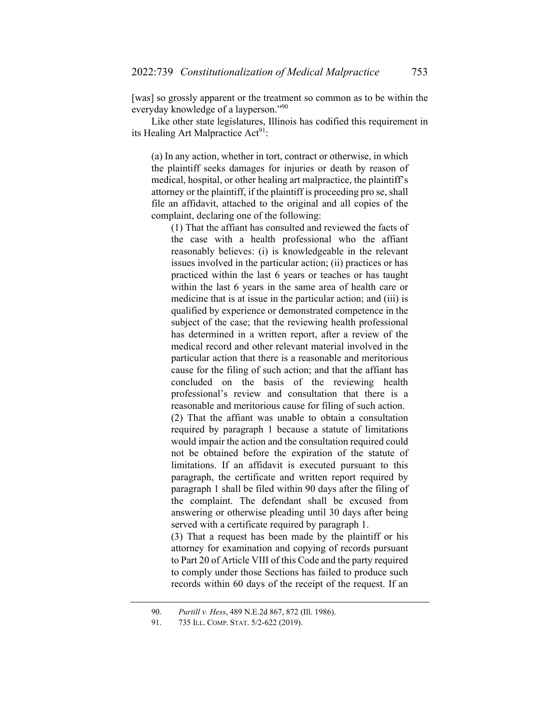[was] so grossly apparent or the treatment so common as to be within the everyday knowledge of a layperson."<sup>90</sup>

Like other state legislatures, Illinois has codified this requirement in its Healing Art Malpractice  $Act^{91}$ :

(a) In any action, whether in tort, contract or otherwise, in which the plaintiff seeks damages for injuries or death by reason of medical, hospital, or other healing art malpractice, the plaintiff's attorney or the plaintiff, if the plaintiff is proceeding pro se, shall file an affidavit, attached to the original and all copies of the complaint, declaring one of the following:

(1) That the affiant has consulted and reviewed the facts of the case with a health professional who the affiant reasonably believes: (i) is knowledgeable in the relevant issues involved in the particular action; (ii) practices or has practiced within the last 6 years or teaches or has taught within the last 6 years in the same area of health care or medicine that is at issue in the particular action; and (iii) is qualified by experience or demonstrated competence in the subject of the case; that the reviewing health professional has determined in a written report, after a review of the medical record and other relevant material involved in the particular action that there is a reasonable and meritorious cause for the filing of such action; and that the affiant has concluded on the basis of the reviewing health professional's review and consultation that there is a reasonable and meritorious cause for filing of such action. (2) That the affiant was unable to obtain a consultation required by paragraph 1 because a statute of limitations would impair the action and the consultation required could not be obtained before the expiration of the statute of limitations. If an affidavit is executed pursuant to this paragraph, the certificate and written report required by paragraph 1 shall be filed within 90 days after the filing of the complaint. The defendant shall be excused from answering or otherwise pleading until 30 days after being served with a certificate required by paragraph 1.

(3) That a request has been made by the plaintiff or his attorney for examination and copying of records pursuant to Part 20 of Article VIII of this Code and the party required to comply under those Sections has failed to produce such records within 60 days of the receipt of the request. If an

 <sup>90.</sup> *Purtill v. Hess*, 489 N.E.2d 867, 872 (Ill. 1986).

 <sup>91. 735</sup> ILL. COMP. STAT. 5/2-622 (2019).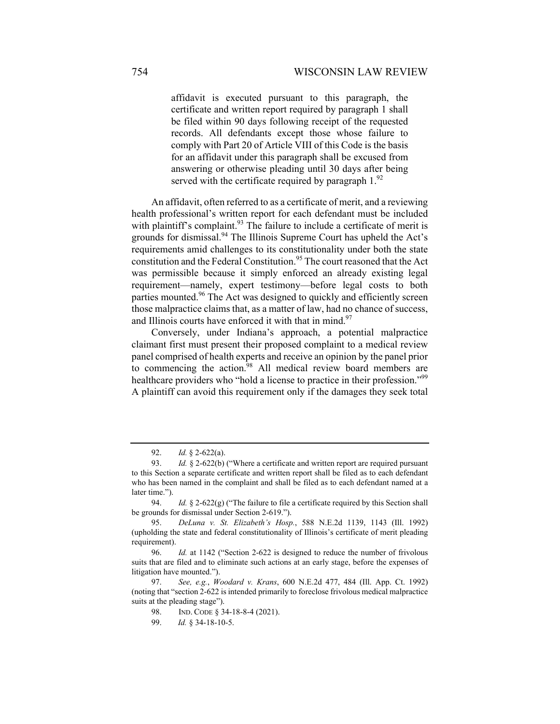affidavit is executed pursuant to this paragraph, the certificate and written report required by paragraph 1 shall be filed within 90 days following receipt of the requested records. All defendants except those whose failure to comply with Part 20 of Article VIII of this Code is the basis for an affidavit under this paragraph shall be excused from answering or otherwise pleading until 30 days after being served with the certificate required by paragraph  $1.^{92}$ 

An affidavit, often referred to as a certificate of merit, and a reviewing health professional's written report for each defendant must be included with plaintiff's complaint.<sup>93</sup> The failure to include a certificate of merit is grounds for dismissal.<sup>94</sup> The Illinois Supreme Court has upheld the Act's requirements amid challenges to its constitutionality under both the state constitution and the Federal Constitution.<sup>95</sup> The court reasoned that the Act was permissible because it simply enforced an already existing legal requirement—namely, expert testimony—before legal costs to both parties mounted.<sup>96</sup> The Act was designed to quickly and efficiently screen those malpractice claims that, as a matter of law, had no chance of success, and Illinois courts have enforced it with that in mind. $97$ 

Conversely, under Indiana's approach, a potential malpractice claimant first must present their proposed complaint to a medical review panel comprised of health experts and receive an opinion by the panel prior to commencing the action.<sup>98</sup> All medical review board members are healthcare providers who "hold a license to practice in their profession."<sup>99</sup> A plaintiff can avoid this requirement only if the damages they seek total

 <sup>92.</sup> *Id.* § 2-622(a).

 <sup>93.</sup> *Id.* § 2-622(b) ("Where a certificate and written report are required pursuant to this Section a separate certificate and written report shall be filed as to each defendant who has been named in the complaint and shall be filed as to each defendant named at a later time.").

 <sup>94.</sup> *Id.* § 2-622(g) ("The failure to file a certificate required by this Section shall be grounds for dismissal under Section 2-619.").

 <sup>95.</sup> *DeLuna v. St. Elizabeth's Hosp.*, 588 N.E.2d 1139, 1143 (Ill. 1992) (upholding the state and federal constitutionality of Illinois's certificate of merit pleading requirement).

 <sup>96.</sup> *Id.* at 1142 ("Section 2-622 is designed to reduce the number of frivolous suits that are filed and to eliminate such actions at an early stage, before the expenses of litigation have mounted.").

 <sup>97.</sup> *See, e.g.*, *Woodard v. Krans*, 600 N.E.2d 477, 484 (Ill. App. Ct. 1992) (noting that "section 2-622 is intended primarily to foreclose frivolous medical malpractice suits at the pleading stage").

<sup>98.</sup> IND. CODE § 34-18-8-4 (2021).

 <sup>99.</sup> *Id.* § 34-18-10-5.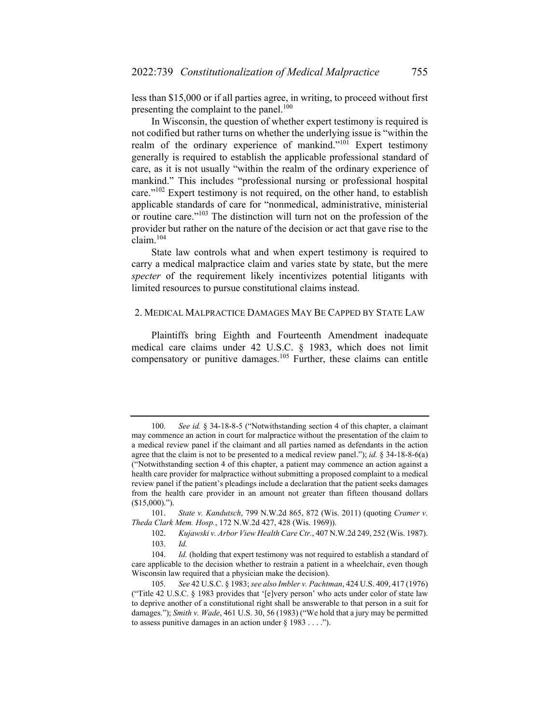less than \$15,000 or if all parties agree, in writing, to proceed without first presenting the complaint to the panel.<sup>100</sup>

In Wisconsin, the question of whether expert testimony is required is not codified but rather turns on whether the underlying issue is "within the realm of the ordinary experience of mankind."<sup>101</sup> Expert testimony generally is required to establish the applicable professional standard of care, as it is not usually "within the realm of the ordinary experience of mankind." This includes "professional nursing or professional hospital care."102 Expert testimony is not required, on the other hand, to establish applicable standards of care for "nonmedical, administrative, ministerial or routine care."103 The distinction will turn not on the profession of the provider but rather on the nature of the decision or act that gave rise to the claim.<sup>104</sup>

State law controls what and when expert testimony is required to carry a medical malpractice claim and varies state by state, but the mere *specter* of the requirement likely incentivizes potential litigants with limited resources to pursue constitutional claims instead.

#### 2. MEDICAL MALPRACTICE DAMAGES MAY BE CAPPED BY STATE LAW

Plaintiffs bring Eighth and Fourteenth Amendment inadequate medical care claims under 42 U.S.C. § 1983, which does not limit compensatory or punitive damages.<sup>105</sup> Further, these claims can entitle

 <sup>100.</sup> *See id.* § 34-18-8-5 ("Notwithstanding section 4 of this chapter, a claimant may commence an action in court for malpractice without the presentation of the claim to a medical review panel if the claimant and all parties named as defendants in the action agree that the claim is not to be presented to a medical review panel."); *id.* § 34-18-8-6(a) ("Notwithstanding section 4 of this chapter, a patient may commence an action against a health care provider for malpractice without submitting a proposed complaint to a medical review panel if the patient's pleadings include a declaration that the patient seeks damages from the health care provider in an amount not greater than fifteen thousand dollars (\$15,000).").

 <sup>101.</sup> *State v. Kandutsch*, 799 N.W.2d 865, 872 (Wis. 2011) (quoting *Cramer v. Theda Clark Mem. Hosp.*, 172 N.W.2d 427, 428 (Wis. 1969)).

 <sup>102.</sup> *Kujawski v. Arbor View Health Care Ctr.*, 407 N.W.2d 249, 252 (Wis. 1987). 103. *Id.*

 <sup>104.</sup> *Id.* (holding that expert testimony was not required to establish a standard of care applicable to the decision whether to restrain a patient in a wheelchair, even though Wisconsin law required that a physician make the decision).

 <sup>105.</sup> *See* 42 U.S.C. § 1983; *see also Imbler v. Pachtman*, 424 U.S. 409, 417 (1976) ("Title 42 U.S.C. § 1983 provides that '[e]very person' who acts under color of state law to deprive another of a constitutional right shall be answerable to that person in a suit for damages."); *Smith v. Wade*, 461 U.S. 30, 56 (1983) ("We hold that a jury may be permitted to assess punitive damages in an action under  $\S$  1983 . . . .").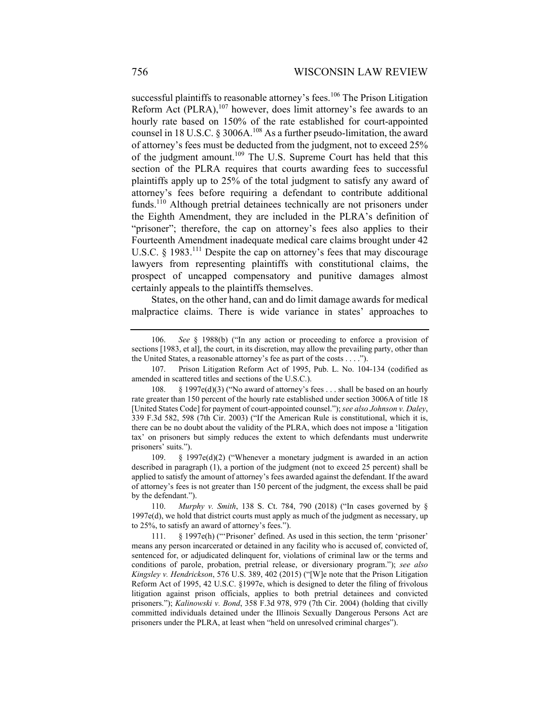successful plaintiffs to reasonable attorney's fees.<sup>106</sup> The Prison Litigation Reform Act (PLRA), $107$  however, does limit attorney's fee awards to an hourly rate based on 150% of the rate established for court-appointed counsel in 18 U.S.C. § 3006A.<sup>108</sup> As a further pseudo-limitation, the award of attorney's fees must be deducted from the judgment, not to exceed 25% of the judgment amount.109 The U.S. Supreme Court has held that this section of the PLRA requires that courts awarding fees to successful plaintiffs apply up to 25% of the total judgment to satisfy any award of attorney's fees before requiring a defendant to contribute additional funds.<sup>110</sup> Although pretrial detainees technically are not prisoners under the Eighth Amendment, they are included in the PLRA's definition of "prisoner"; therefore, the cap on attorney's fees also applies to their Fourteenth Amendment inadequate medical care claims brought under 42 U.S.C. § 1983.<sup>111</sup> Despite the cap on attorney's fees that may discourage lawyers from representing plaintiffs with constitutional claims, the prospect of uncapped compensatory and punitive damages almost certainly appeals to the plaintiffs themselves.

States, on the other hand, can and do limit damage awards for medical malpractice claims. There is wide variance in states' approaches to

 <sup>106.</sup> *See* § 1988(b) ("In any action or proceeding to enforce a provision of sections [1983, et al], the court, in its discretion, may allow the prevailing party, other than the United States, a reasonable attorney's fee as part of the costs . . . .").

 <sup>107.</sup> Prison Litigation Reform Act of 1995, Pub. L. No. 104-134 (codified as amended in scattered titles and sections of the U.S.C.).

 <sup>108. § 1997</sup>e(d)(3) ("No award of attorney's fees . . . shall be based on an hourly rate greater than 150 percent of the hourly rate established under section 3006A of title 18 [United States Code] for payment of court-appointed counsel."); *see also Johnson v. Daley*, 339 F.3d 582, 598 (7th Cir. 2003) ("If the American Rule is constitutional, which it is, there can be no doubt about the validity of the PLRA, which does not impose a 'litigation tax' on prisoners but simply reduces the extent to which defendants must underwrite prisoners' suits.").

 <sup>109. § 1997</sup>e(d)(2) ("Whenever a monetary judgment is awarded in an action described in paragraph (1), a portion of the judgment (not to exceed 25 percent) shall be applied to satisfy the amount of attorney's fees awarded against the defendant. If the award of attorney's fees is not greater than 150 percent of the judgment, the excess shall be paid by the defendant.").

 <sup>110.</sup> *Murphy v. Smith*, 138 S. Ct. 784, 790 (2018) ("In cases governed by § 1997e(d), we hold that district courts must apply as much of the judgment as necessary, up to 25%, to satisfy an award of attorney's fees.").

 <sup>111. § 1997</sup>e(h) ("'Prisoner' defined. As used in this section, the term 'prisoner' means any person incarcerated or detained in any facility who is accused of, convicted of, sentenced for, or adjudicated delinquent for, violations of criminal law or the terms and conditions of parole, probation, pretrial release, or diversionary program."); *see also Kingsley v. Hendrickson*, 576 U.S. 389, 402 (2015) ("[W]e note that the Prison Litigation Reform Act of 1995, 42 U.S.C. §1997e, which is designed to deter the filing of frivolous litigation against prison officials, applies to both pretrial detainees and convicted prisoners."); *Kalinowski v. Bond*, 358 F.3d 978, 979 (7th Cir. 2004) (holding that civilly committed individuals detained under the Illinois Sexually Dangerous Persons Act are prisoners under the PLRA, at least when "held on unresolved criminal charges").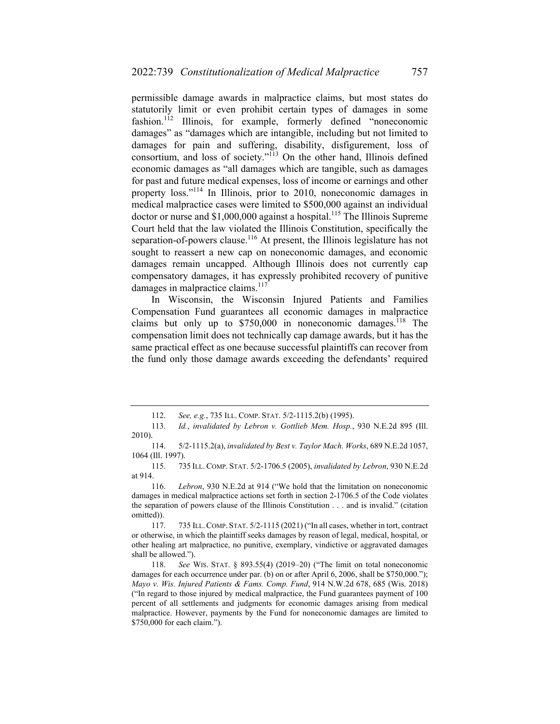permissible damage awards in malpractice claims, but most states do statutorily limit or even prohibit certain types of damages in some fashion.<sup>112</sup> Illinois, for example, formerly defined "noneconomic damages" as "damages which are intangible, including but not limited to damages for pain and suffering, disability, disfigurement, loss of consortium, and loss of society."113 On the other hand, Illinois defined economic damages as "all damages which are tangible, such as damages for past and future medical expenses, loss of income or earnings and other property loss."114 In Illinois, prior to 2010, noneconomic damages in medical malpractice cases were limited to \$500,000 against an individual doctor or nurse and  $$1,000,000$  against a hospital.<sup>115</sup> The Illinois Supreme Court held that the law violated the Illinois Constitution, specifically the separation-of-powers clause.<sup>116</sup> At present, the Illinois legislature has not sought to reassert a new cap on noneconomic damages, and economic damages remain uncapped. Although Illinois does not currently cap compensatory damages, it has expressly prohibited recovery of punitive damages in malpractice claims.<sup>117</sup>

In Wisconsin, the Wisconsin Injured Patients and Families Compensation Fund guarantees all economic damages in malpractice claims but only up to  $$750,000$  in noneconomic damages.<sup>118</sup> The compensation limit does not technically cap damage awards, but it has the same practical effect as one because successful plaintiffs can recover from the fund only those damage awards exceeding the defendants' required

 <sup>112.</sup> *See, e.g.*, 735 ILL. COMP. STAT. 5/2-1115.2(b) (1995).

 <sup>113.</sup> *Id.*, *invalidated by Lebron v. Gottlieb Mem. Hosp.*, 930 N.E.2d 895 (Ill. 2010).

 <sup>114. 5/2-1115.2(</sup>a), *invalidated by Best v. Taylor Mach. Works*, 689 N.E.2d 1057, 1064 (Ill. 1997).

 <sup>115. 735</sup> ILL. COMP. STAT. 5/2-1706.5 (2005), *invalidated by Lebron*, 930 N.E.2d at 914.

 <sup>116.</sup> *Lebron*, 930 N.E.2d at 914 ("We hold that the limitation on noneconomic damages in medical malpractice actions set forth in section 2-1706.5 of the Code violates the separation of powers clause of the Illinois Constitution . . . and is invalid." (citation omitted)).

 <sup>117. 735</sup> ILL.COMP. STAT. 5/2-1115 (2021) ("In all cases, whether in tort, contract or otherwise, in which the plaintiff seeks damages by reason of legal, medical, hospital, or other healing art malpractice, no punitive, exemplary, vindictive or aggravated damages shall be allowed.").

 <sup>118.</sup> *See* WIS. STAT. § 893.55(4) (2019–20) ("The limit on total noneconomic damages for each occurrence under par. (b) on or after April 6, 2006, shall be \$750,000."); *Mayo v. Wis. Injured Patients & Fams. Comp. Fund*, 914 N.W.2d 678, 685 (Wis. 2018) ("In regard to those injured by medical malpractice, the Fund guarantees payment of 100 percent of all settlements and judgments for economic damages arising from medical malpractice. However, payments by the Fund for noneconomic damages are limited to \$750,000 for each claim.").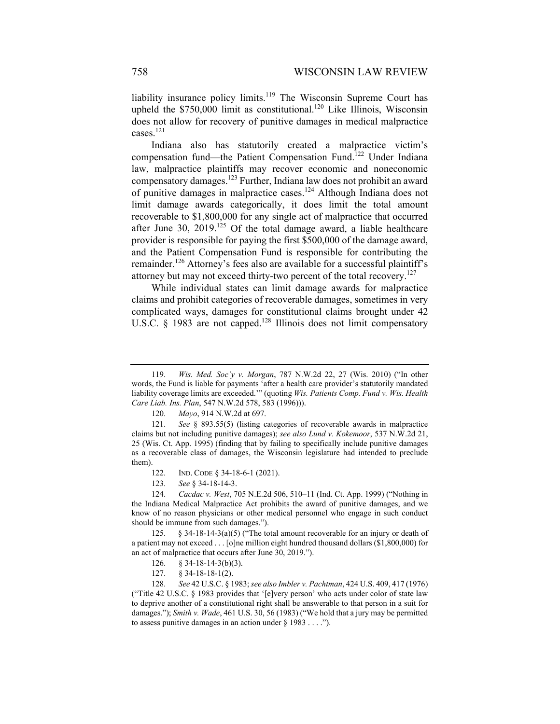liability insurance policy limits.119 The Wisconsin Supreme Court has upheld the  $$750,000$  limit as constitutional.<sup>120</sup> Like Illinois, Wisconsin does not allow for recovery of punitive damages in medical malpractice cases.<sup>121</sup>

Indiana also has statutorily created a malpractice victim's compensation fund—the Patient Compensation Fund.<sup>122</sup> Under Indiana law, malpractice plaintiffs may recover economic and noneconomic compensatory damages.123 Further, Indiana law does not prohibit an award of punitive damages in malpractice cases.124 Although Indiana does not limit damage awards categorically, it does limit the total amount recoverable to \$1,800,000 for any single act of malpractice that occurred after June 30, 2019.<sup>125</sup> Of the total damage award, a liable healthcare provider is responsible for paying the first \$500,000 of the damage award, and the Patient Compensation Fund is responsible for contributing the remainder.<sup>126</sup> Attorney's fees also are available for a successful plaintiff's attorney but may not exceed thirty-two percent of the total recovery.<sup>127</sup>

While individual states can limit damage awards for malpractice claims and prohibit categories of recoverable damages, sometimes in very complicated ways, damages for constitutional claims brought under 42 U.S.C. § 1983 are not capped.<sup>128</sup> Illinois does not limit compensatory

 124. *Cacdac v. West*, 705 N.E.2d 506, 510–11 (Ind. Ct. App. 1999) ("Nothing in the Indiana Medical Malpractice Act prohibits the award of punitive damages, and we know of no reason physicians or other medical personnel who engage in such conduct should be immune from such damages.").

127. § 34-18-18-1(2).

 128. *See* 42 U.S.C. § 1983; *see also Imbler v. Pachtman*, 424 U.S. 409, 417 (1976) ("Title 42 U.S.C. § 1983 provides that '[e]very person' who acts under color of state law to deprive another of a constitutional right shall be answerable to that person in a suit for damages."); *Smith v. Wade*, 461 U.S. 30, 56 (1983) ("We hold that a jury may be permitted to assess punitive damages in an action under  $\S$  1983 . . . .").

 <sup>119.</sup> *Wis. Med. Soc'y v. Morgan*, 787 N.W.2d 22, 27 (Wis. 2010) ("In other words, the Fund is liable for payments 'after a health care provider's statutorily mandated liability coverage limits are exceeded.'" (quoting *Wis. Patients Comp. Fund v. Wis. Health Care Liab. Ins. Plan*, 547 N.W.2d 578, 583 (1996))).

 <sup>120.</sup> *Mayo*, 914 N.W.2d at 697.

 <sup>121.</sup> *See* § 893.55(5) (listing categories of recoverable awards in malpractice claims but not including punitive damages); *see also Lund v. Kokemoor*, 537 N.W.2d 21, 25 (Wis. Ct. App. 1995) (finding that by failing to specifically include punitive damages as a recoverable class of damages, the Wisconsin legislature had intended to preclude them).

 <sup>122.</sup> IND. CODE § 34-18-6-1 (2021).

 <sup>123.</sup> *See* § 34-18-14-3.

 <sup>125. § 34-18-14-3(</sup>a)(5) ("The total amount recoverable for an injury or death of a patient may not exceed . . . [o]ne million eight hundred thousand dollars (\$1,800,000) for an act of malpractice that occurs after June 30, 2019.").

 <sup>126. § 34-18-14-3(</sup>b)(3).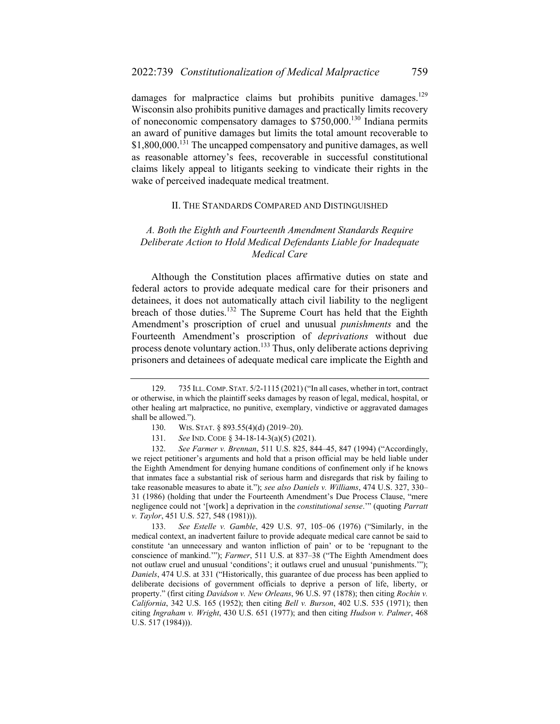damages for malpractice claims but prohibits punitive damages.<sup>129</sup> Wisconsin also prohibits punitive damages and practically limits recovery of noneconomic compensatory damages to \$750,000.130 Indiana permits an award of punitive damages but limits the total amount recoverable to \$1,800,000.<sup>131</sup> The uncapped compensatory and punitive damages, as well as reasonable attorney's fees, recoverable in successful constitutional claims likely appeal to litigants seeking to vindicate their rights in the wake of perceived inadequate medical treatment.

#### II. THE STANDARDS COMPARED AND DISTINGUISHED

### *A. Both the Eighth and Fourteenth Amendment Standards Require Deliberate Action to Hold Medical Defendants Liable for Inadequate Medical Care*

Although the Constitution places affirmative duties on state and federal actors to provide adequate medical care for their prisoners and detainees, it does not automatically attach civil liability to the negligent breach of those duties.<sup>132</sup> The Supreme Court has held that the Eighth Amendment's proscription of cruel and unusual *punishments* and the Fourteenth Amendment's proscription of *deprivations* without due process denote voluntary action.<sup>133</sup> Thus, only deliberate actions depriving prisoners and detainees of adequate medical care implicate the Eighth and

 <sup>129. 735</sup> ILL.COMP. STAT. 5/2-1115 (2021) ("In all cases, whether in tort, contract or otherwise, in which the plaintiff seeks damages by reason of legal, medical, hospital, or other healing art malpractice, no punitive, exemplary, vindictive or aggravated damages shall be allowed.").

<sup>130.</sup> WIS. STAT. § 893.55(4)(d) (2019–20).

 <sup>131.</sup> *See* IND. CODE § 34-18-14-3(a)(5) (2021).

 <sup>132.</sup> *See Farmer v. Brennan*, 511 U.S. 825, 844–45, 847 (1994) ("Accordingly, we reject petitioner's arguments and hold that a prison official may be held liable under the Eighth Amendment for denying humane conditions of confinement only if he knows that inmates face a substantial risk of serious harm and disregards that risk by failing to take reasonable measures to abate it."); *see also Daniels v. Williams*, 474 U.S. 327, 330– 31 (1986) (holding that under the Fourteenth Amendment's Due Process Clause, "mere negligence could not '[work] a deprivation in the *constitutional sense*.'" (quoting *Parratt v. Taylor*, 451 U.S. 527, 548 (1981))).

 <sup>133.</sup> *See Estelle v. Gamble*, 429 U.S. 97, 105–06 (1976) ("Similarly, in the medical context, an inadvertent failure to provide adequate medical care cannot be said to constitute 'an unnecessary and wanton infliction of pain' or to be 'repugnant to the conscience of mankind.'"); *Farmer*, 511 U.S. at 837–38 ("The Eighth Amendment does not outlaw cruel and unusual 'conditions'; it outlaws cruel and unusual 'punishments.'"); *Daniels*, 474 U.S. at 331 ("Historically, this guarantee of due process has been applied to deliberate decisions of government officials to deprive a person of life, liberty, or property." (first citing *Davidson v. New Orleans*, 96 U.S. 97 (1878); then citing *Rochin v. California*, 342 U.S. 165 (1952); then citing *Bell v. Burson*, 402 U.S. 535 (1971); then citing *Ingraham v. Wright*, 430 U.S. 651 (1977); and then citing *Hudson v. Palmer*, 468 U.S. 517 (1984))).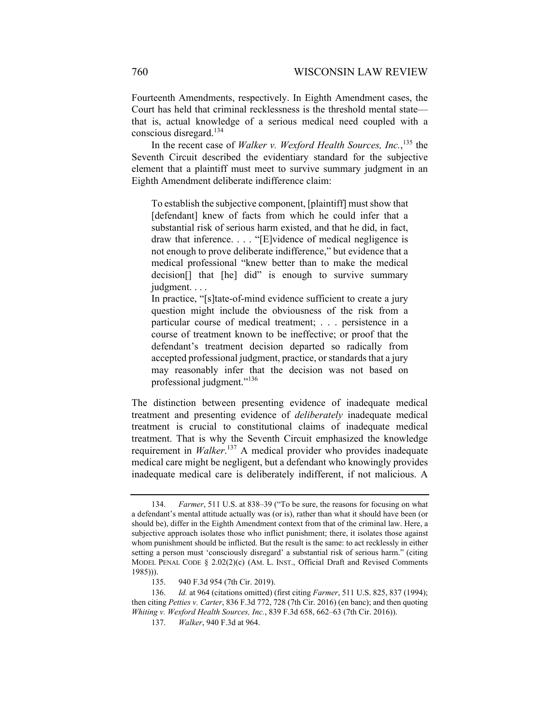Fourteenth Amendments, respectively. In Eighth Amendment cases, the Court has held that criminal recklessness is the threshold mental state that is, actual knowledge of a serious medical need coupled with a conscious disregard.134

In the recent case of *Walker v. Wexford Health Sources, Inc.*, 135 the Seventh Circuit described the evidentiary standard for the subjective element that a plaintiff must meet to survive summary judgment in an Eighth Amendment deliberate indifference claim:

To establish the subjective component, [plaintiff] must show that [defendant] knew of facts from which he could infer that a substantial risk of serious harm existed, and that he did, in fact, draw that inference. . . . "[E]vidence of medical negligence is not enough to prove deliberate indifference," but evidence that a medical professional "knew better than to make the medical decision[] that [he] did" is enough to survive summary judgment. . . .

In practice, "[s]tate-of-mind evidence sufficient to create a jury question might include the obviousness of the risk from a particular course of medical treatment; . . . persistence in a course of treatment known to be ineffective; or proof that the defendant's treatment decision departed so radically from accepted professional judgment, practice, or standards that a jury may reasonably infer that the decision was not based on professional judgment."<sup>136</sup>

The distinction between presenting evidence of inadequate medical treatment and presenting evidence of *deliberately* inadequate medical treatment is crucial to constitutional claims of inadequate medical treatment. That is why the Seventh Circuit emphasized the knowledge requirement in *Walker*. 137 A medical provider who provides inadequate medical care might be negligent, but a defendant who knowingly provides inadequate medical care is deliberately indifferent, if not malicious. A

 <sup>134.</sup> *Farmer*, 511 U.S. at 838–39 ("To be sure, the reasons for focusing on what a defendant's mental attitude actually was (or is), rather than what it should have been (or should be), differ in the Eighth Amendment context from that of the criminal law. Here, a subjective approach isolates those who inflict punishment; there, it isolates those against whom punishment should be inflicted. But the result is the same: to act recklessly in either setting a person must 'consciously disregard' a substantial risk of serious harm." (citing MODEL PENAL CODE § 2.02(2)(c) (AM. L. INST., Official Draft and Revised Comments 1985))).

 <sup>135. 940</sup> F.3d 954 (7th Cir. 2019).

 <sup>136.</sup> *Id.* at 964 (citations omitted) (first citing *Farmer*, 511 U.S. 825, 837 (1994); then citing *Petties v. Carter*, 836 F.3d 772, 728 (7th Cir. 2016) (en banc); and then quoting *Whiting v. Wexford Health Sources, Inc.*, 839 F.3d 658, 662–63 (7th Cir. 2016)).

 <sup>137.</sup> *Walker*, 940 F.3d at 964.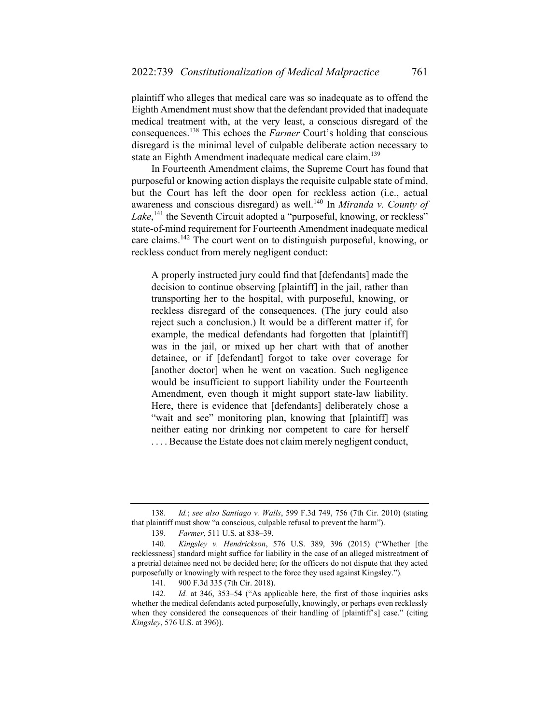plaintiff who alleges that medical care was so inadequate as to offend the Eighth Amendment must show that the defendant provided that inadequate medical treatment with, at the very least, a conscious disregard of the consequences.138 This echoes the *Farmer* Court's holding that conscious disregard is the minimal level of culpable deliberate action necessary to state an Eighth Amendment inadequate medical care claim.<sup>139</sup>

In Fourteenth Amendment claims, the Supreme Court has found that purposeful or knowing action displays the requisite culpable state of mind, but the Court has left the door open for reckless action (i.e., actual awareness and conscious disregard) as well.<sup>140</sup> In *Miranda v. County of* Lake,<sup>141</sup> the Seventh Circuit adopted a "purposeful, knowing, or reckless" state-of-mind requirement for Fourteenth Amendment inadequate medical care claims.142 The court went on to distinguish purposeful, knowing, or reckless conduct from merely negligent conduct:

A properly instructed jury could find that [defendants] made the decision to continue observing [plaintiff] in the jail, rather than transporting her to the hospital, with purposeful, knowing, or reckless disregard of the consequences. (The jury could also reject such a conclusion.) It would be a different matter if, for example, the medical defendants had forgotten that [plaintiff] was in the jail, or mixed up her chart with that of another detainee, or if [defendant] forgot to take over coverage for [another doctor] when he went on vacation. Such negligence would be insufficient to support liability under the Fourteenth Amendment, even though it might support state-law liability. Here, there is evidence that [defendants] deliberately chose a "wait and see" monitoring plan, knowing that [plaintiff] was neither eating nor drinking nor competent to care for herself .... Because the Estate does not claim merely negligent conduct,

 <sup>138.</sup> *Id.*; *see also Santiago v. Walls*, 599 F.3d 749, 756 (7th Cir. 2010) (stating that plaintiff must show "a conscious, culpable refusal to prevent the harm").

 <sup>139.</sup> *Farmer*, 511 U.S. at 838–39.

 <sup>140.</sup> *Kingsley v. Hendrickson*, 576 U.S. 389, 396 (2015) ("Whether [the recklessness] standard might suffice for liability in the case of an alleged mistreatment of a pretrial detainee need not be decided here; for the officers do not dispute that they acted purposefully or knowingly with respect to the force they used against Kingsley.").

 <sup>141. 900</sup> F.3d 335 (7th Cir. 2018).

<sup>142.</sup> *Id.* at 346, 353–54 ("As applicable here, the first of those inquiries asks whether the medical defendants acted purposefully, knowingly, or perhaps even recklessly when they considered the consequences of their handling of [plaintiff's] case." (citing *Kingsley*, 576 U.S. at 396)).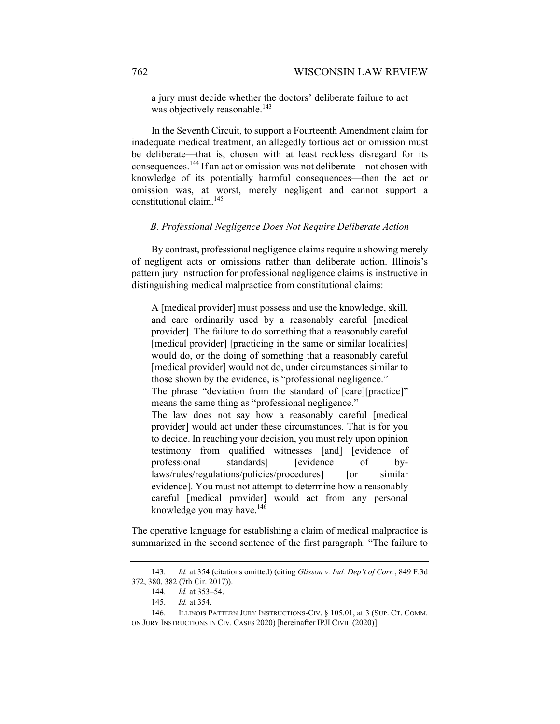a jury must decide whether the doctors' deliberate failure to act was objectively reasonable.<sup>143</sup>

In the Seventh Circuit, to support a Fourteenth Amendment claim for inadequate medical treatment, an allegedly tortious act or omission must be deliberate—that is, chosen with at least reckless disregard for its consequences.144 If an act or omission was not deliberate—not chosen with knowledge of its potentially harmful consequences—then the act or omission was, at worst, merely negligent and cannot support a constitutional claim.<sup>145</sup>

#### *B. Professional Negligence Does Not Require Deliberate Action*

By contrast, professional negligence claims require a showing merely of negligent acts or omissions rather than deliberate action. Illinois's pattern jury instruction for professional negligence claims is instructive in distinguishing medical malpractice from constitutional claims:

A [medical provider] must possess and use the knowledge, skill, and care ordinarily used by a reasonably careful [medical provider]. The failure to do something that a reasonably careful [medical provider] [practicing in the same or similar localities] would do, or the doing of something that a reasonably careful [medical provider] would not do, under circumstances similar to those shown by the evidence, is "professional negligence." The phrase "deviation from the standard of [care][practice]" means the same thing as "professional negligence." The law does not say how a reasonably careful [medical provider] would act under these circumstances. That is for you to decide. In reaching your decision, you must rely upon opinion testimony from qualified witnesses [and] [evidence of professional standards] [evidence of bylaws/rules/regulations/policies/procedures] [or similar evidence]. You must not attempt to determine how a reasonably careful [medical provider] would act from any personal knowledge you may have. $146$ 

The operative language for establishing a claim of medical malpractice is summarized in the second sentence of the first paragraph: "The failure to

 <sup>143.</sup> *Id.* at 354 (citations omitted) (citing *Glisson v. Ind. Dep't of Corr.*, 849 F.3d 372, 380, 382 (7th Cir. 2017)).

 <sup>144.</sup> *Id.* at 353–54.

 <sup>145.</sup> *Id.* at 354.

<sup>146.</sup> ILLINOIS PATTERN JURY INSTRUCTIONS-CIV. § 105.01, at 3 (SUP. CT. COMM. ON JURY INSTRUCTIONS IN CIV. CASES 2020) [hereinafter IPJI CIVIL (2020)].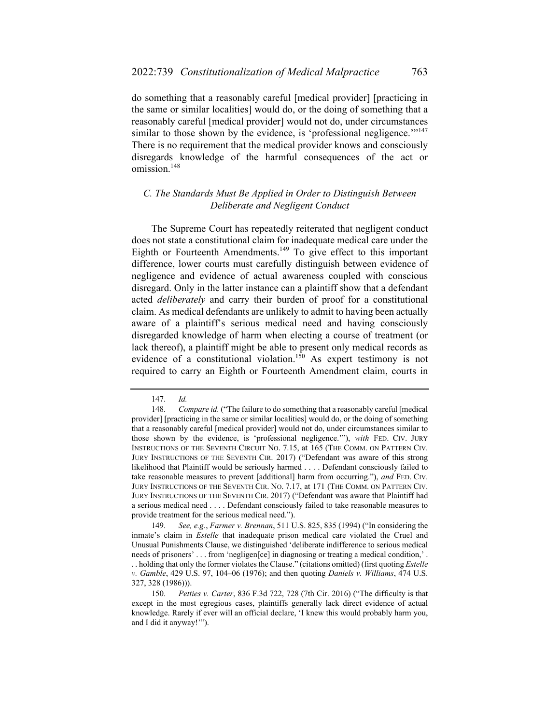do something that a reasonably careful [medical provider] [practicing in the same or similar localities] would do, or the doing of something that a reasonably careful [medical provider] would not do, under circumstances similar to those shown by the evidence, is 'professional negligence.'"<sup>147</sup> There is no requirement that the medical provider knows and consciously disregards knowledge of the harmful consequences of the act or omission.<sup>148</sup>

## *C. The Standards Must Be Applied in Order to Distinguish Between Deliberate and Negligent Conduct*

The Supreme Court has repeatedly reiterated that negligent conduct does not state a constitutional claim for inadequate medical care under the Eighth or Fourteenth Amendments.<sup>149</sup> To give effect to this important difference, lower courts must carefully distinguish between evidence of negligence and evidence of actual awareness coupled with conscious disregard. Only in the latter instance can a plaintiff show that a defendant acted *deliberately* and carry their burden of proof for a constitutional claim. As medical defendants are unlikely to admit to having been actually aware of a plaintiff's serious medical need and having consciously disregarded knowledge of harm when electing a course of treatment (or lack thereof), a plaintiff might be able to present only medical records as evidence of a constitutional violation.<sup>150</sup> As expert testimony is not required to carry an Eighth or Fourteenth Amendment claim, courts in

 <sup>147.</sup> *Id.*

 <sup>148.</sup> *Compare id.* ("The failure to do something that a reasonably careful [medical provider] [practicing in the same or similar localities] would do, or the doing of something that a reasonably careful [medical provider] would not do, under circumstances similar to those shown by the evidence, is 'professional negligence.'"), *with* FED. CIV. JURY INSTRUCTIONS OF THE SEVENTH CIRCUIT NO. 7.15, at 165 (THE COMM. ON PATTERN CIV. JURY INSTRUCTIONS OF THE SEVENTH CIR. 2017) ("Defendant was aware of this strong likelihood that Plaintiff would be seriously harmed . . . . Defendant consciously failed to take reasonable measures to prevent [additional] harm from occurring."), *and* FED. CIV. JURY INSTRUCTIONS OF THE SEVENTH CIR. NO. 7.17, at 171 (THE COMM. ON PATTERN CIV. JURY INSTRUCTIONS OF THE SEVENTH CIR. 2017) ("Defendant was aware that Plaintiff had a serious medical need . . . . Defendant consciously failed to take reasonable measures to provide treatment for the serious medical need.").

 <sup>149.</sup> *See, e.g.*, *Farmer v. Brennan*, 511 U.S. 825, 835 (1994) ("In considering the inmate's claim in *Estelle* that inadequate prison medical care violated the Cruel and Unusual Punishments Clause, we distinguished 'deliberate indifference to serious medical needs of prisoners' . . . from 'negligen[ce] in diagnosing or treating a medical condition,'. . . holding that only the former violates the Clause." (citations omitted) (first quoting *Estelle v. Gamble*, 429 U.S. 97, 104–06 (1976); and then quoting *Daniels v. Williams*, 474 U.S. 327, 328 (1986))).

 <sup>150.</sup> *Petties v. Carter*, 836 F.3d 722, 728 (7th Cir. 2016) ("The difficulty is that except in the most egregious cases, plaintiffs generally lack direct evidence of actual knowledge. Rarely if ever will an official declare, 'I knew this would probably harm you, and I did it anyway!'").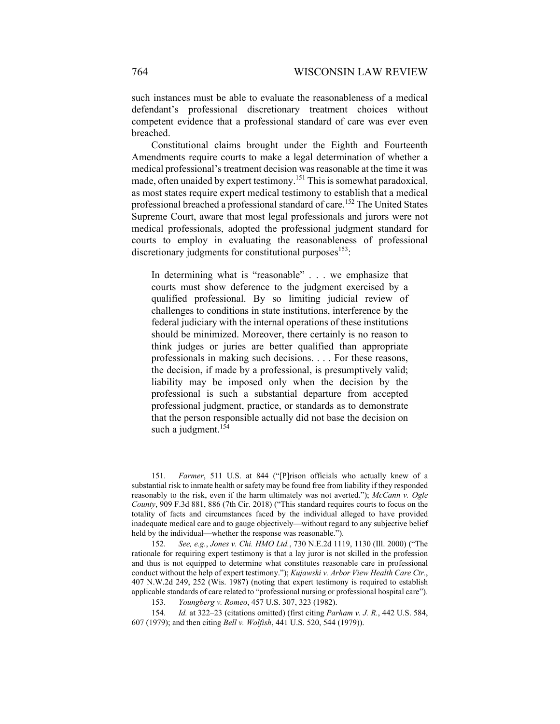such instances must be able to evaluate the reasonableness of a medical defendant's professional discretionary treatment choices without competent evidence that a professional standard of care was ever even breached.

Constitutional claims brought under the Eighth and Fourteenth Amendments require courts to make a legal determination of whether a medical professional's treatment decision was reasonable at the time it was made, often unaided by expert testimony.<sup>151</sup> This is somewhat paradoxical, as most states require expert medical testimony to establish that a medical professional breached a professional standard of care.<sup>152</sup> The United States Supreme Court, aware that most legal professionals and jurors were not medical professionals, adopted the professional judgment standard for courts to employ in evaluating the reasonableness of professional discretionary judgments for constitutional purposes<sup>153</sup>:

In determining what is "reasonable" . . . we emphasize that courts must show deference to the judgment exercised by a qualified professional. By so limiting judicial review of challenges to conditions in state institutions, interference by the federal judiciary with the internal operations of these institutions should be minimized. Moreover, there certainly is no reason to think judges or juries are better qualified than appropriate professionals in making such decisions. . . . For these reasons, the decision, if made by a professional, is presumptively valid; liability may be imposed only when the decision by the professional is such a substantial departure from accepted professional judgment, practice, or standards as to demonstrate that the person responsible actually did not base the decision on such a judgment. $154$ 

 <sup>151.</sup> *Farmer*, 511 U.S. at 844 ("[P]rison officials who actually knew of a substantial risk to inmate health or safety may be found free from liability if they responded reasonably to the risk, even if the harm ultimately was not averted."); *McCann v. Ogle County*, 909 F.3d 881, 886 (7th Cir. 2018) ("This standard requires courts to focus on the totality of facts and circumstances faced by the individual alleged to have provided inadequate medical care and to gauge objectively—without regard to any subjective belief held by the individual—whether the response was reasonable.").

 <sup>152.</sup> *See, e.g.*, *Jones v. Chi. HMO Ltd.*, 730 N.E.2d 1119, 1130 (Ill. 2000) ("The rationale for requiring expert testimony is that a lay juror is not skilled in the profession and thus is not equipped to determine what constitutes reasonable care in professional conduct without the help of expert testimony."); *Kujawski v. Arbor View Health Care Ctr.*, 407 N.W.2d 249, 252 (Wis. 1987) (noting that expert testimony is required to establish applicable standards of care related to "professional nursing or professional hospital care").

 <sup>153.</sup> *Youngberg v. Romeo*, 457 U.S. 307, 323 (1982).

 <sup>154.</sup> *Id.* at 322–23 (citations omitted) (first citing *Parham v. J. R.*, 442 U.S. 584, 607 (1979); and then citing *Bell v. Wolfish*, 441 U.S. 520, 544 (1979)).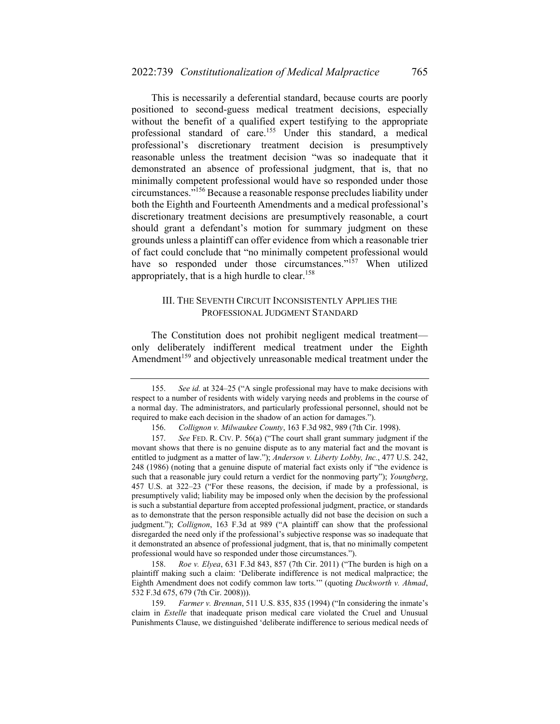This is necessarily a deferential standard, because courts are poorly positioned to second-guess medical treatment decisions, especially without the benefit of a qualified expert testifying to the appropriate professional standard of care.155 Under this standard, a medical professional's discretionary treatment decision is presumptively reasonable unless the treatment decision "was so inadequate that it demonstrated an absence of professional judgment, that is, that no minimally competent professional would have so responded under those circumstances."156 Because a reasonable response precludes liability under both the Eighth and Fourteenth Amendments and a medical professional's discretionary treatment decisions are presumptively reasonable, a court should grant a defendant's motion for summary judgment on these grounds unless a plaintiff can offer evidence from which a reasonable trier of fact could conclude that "no minimally competent professional would have so responded under those circumstances."<sup>157</sup> When utilized appropriately, that is a high hurdle to clear.<sup>158</sup>

## III. THE SEVENTH CIRCUIT INCONSISTENTLY APPLIES THE PROFESSIONAL JUDGMENT STANDARD

The Constitution does not prohibit negligent medical treatment only deliberately indifferent medical treatment under the Eighth Amendment<sup>159</sup> and objectively unreasonable medical treatment under the

 158. *Roe v. Elyea*, 631 F.3d 843, 857 (7th Cir. 2011) ("The burden is high on a plaintiff making such a claim: 'Deliberate indifference is not medical malpractice; the Eighth Amendment does not codify common law torts.'" (quoting *Duckworth v. Ahmad*, 532 F.3d 675, 679 (7th Cir. 2008))).

 159. *Farmer v. Brennan*, 511 U.S. 835, 835 (1994) ("In considering the inmate's claim in *Estelle* that inadequate prison medical care violated the Cruel and Unusual Punishments Clause, we distinguished 'deliberate indifference to serious medical needs of

 <sup>155.</sup> *See id.* at 324–25 ("A single professional may have to make decisions with respect to a number of residents with widely varying needs and problems in the course of a normal day. The administrators, and particularly professional personnel, should not be required to make each decision in the shadow of an action for damages.").

 <sup>156.</sup> *Collignon v. Milwaukee County*, 163 F.3d 982, 989 (7th Cir. 1998).

 <sup>157.</sup> *See* FED. R. CIV. P. 56(a) ("The court shall grant summary judgment if the movant shows that there is no genuine dispute as to any material fact and the movant is entitled to judgment as a matter of law."); *Anderson v. Liberty Lobby, Inc.*, 477 U.S. 242, 248 (1986) (noting that a genuine dispute of material fact exists only if "the evidence is such that a reasonable jury could return a verdict for the nonmoving party"); *Youngberg*, 457 U.S. at 322–23 ("For these reasons, the decision, if made by a professional, is presumptively valid; liability may be imposed only when the decision by the professional is such a substantial departure from accepted professional judgment, practice, or standards as to demonstrate that the person responsible actually did not base the decision on such a judgment."); *Collignon*, 163 F.3d at 989 ("A plaintiff can show that the professional disregarded the need only if the professional's subjective response was so inadequate that it demonstrated an absence of professional judgment, that is, that no minimally competent professional would have so responded under those circumstances.").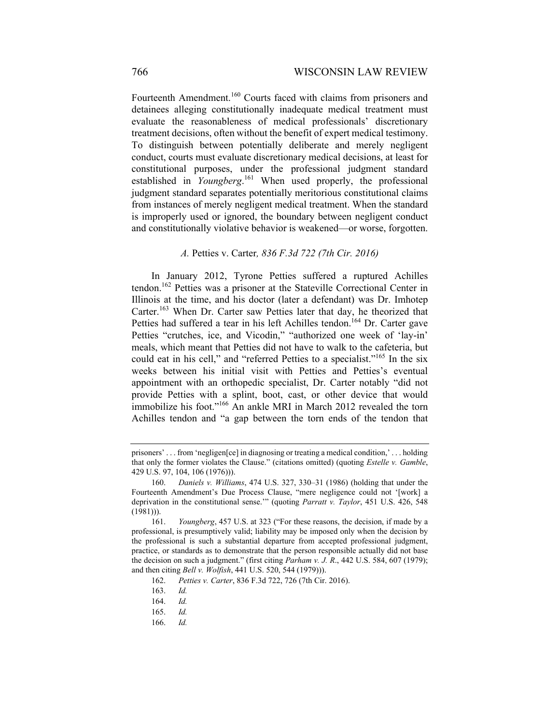Fourteenth Amendment.<sup>160</sup> Courts faced with claims from prisoners and detainees alleging constitutionally inadequate medical treatment must evaluate the reasonableness of medical professionals' discretionary treatment decisions, often without the benefit of expert medical testimony. To distinguish between potentially deliberate and merely negligent conduct, courts must evaluate discretionary medical decisions, at least for constitutional purposes, under the professional judgment standard established in *Youngberg*. 161 When used properly, the professional judgment standard separates potentially meritorious constitutional claims from instances of merely negligent medical treatment. When the standard is improperly used or ignored, the boundary between negligent conduct and constitutionally violative behavior is weakened—or worse, forgotten.

#### *A.* Petties v. Carter*, 836 F.3d 722 (7th Cir. 2016)*

In January 2012, Tyrone Petties suffered a ruptured Achilles tendon.162 Petties was a prisoner at the Stateville Correctional Center in Illinois at the time, and his doctor (later a defendant) was Dr. Imhotep Carter.<sup>163</sup> When Dr. Carter saw Petties later that day, he theorized that Petties had suffered a tear in his left Achilles tendon.<sup>164</sup> Dr. Carter gave Petties "crutches, ice, and Vicodin," "authorized one week of 'lay-in' meals, which meant that Petties did not have to walk to the cafeteria, but could eat in his cell," and "referred Petties to a specialist."165 In the six weeks between his initial visit with Petties and Petties's eventual appointment with an orthopedic specialist, Dr. Carter notably "did not provide Petties with a splint, boot, cast, or other device that would immobilize his foot."166 An ankle MRI in March 2012 revealed the torn Achilles tendon and "a gap between the torn ends of the tendon that

166. *Id.*

prisoners' . . . from 'negligen[ce] in diagnosing or treating a medical condition,' . . . holding that only the former violates the Clause." (citations omitted) (quoting *Estelle v. Gamble*, 429 U.S. 97, 104, 106 (1976))).

 <sup>160.</sup> *Daniels v. Williams*, 474 U.S. 327, 330–31 (1986) (holding that under the Fourteenth Amendment's Due Process Clause, "mere negligence could not '[work] a deprivation in the constitutional sense.'" (quoting *Parratt v. Taylor*, 451 U.S. 426, 548  $(1981))$ ).

 <sup>161.</sup> *Youngberg*, 457 U.S. at 323 ("For these reasons, the decision, if made by a professional, is presumptively valid; liability may be imposed only when the decision by the professional is such a substantial departure from accepted professional judgment, practice, or standards as to demonstrate that the person responsible actually did not base the decision on such a judgment." (first citing *Parham v. J. R*., 442 U.S. 584, 607 (1979); and then citing *Bell v. Wolfish*, 441 U.S. 520, 544 (1979))).

 <sup>162.</sup> *Petties v. Carter*, 836 F.3d 722, 726 (7th Cir. 2016).

 <sup>163.</sup> *Id.*

 <sup>164.</sup> *Id.*

 <sup>165.</sup> *Id.*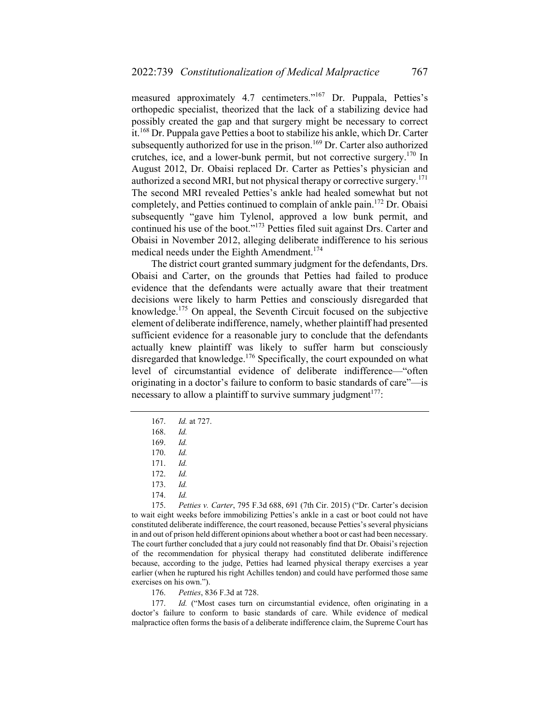measured approximately 4.7 centimeters."167 Dr. Puppala, Petties's orthopedic specialist, theorized that the lack of a stabilizing device had possibly created the gap and that surgery might be necessary to correct it.168 Dr. Puppala gave Petties a boot to stabilize his ankle, which Dr. Carter subsequently authorized for use in the prison.<sup>169</sup> Dr. Carter also authorized crutches, ice, and a lower-bunk permit, but not corrective surgery.170 In August 2012, Dr. Obaisi replaced Dr. Carter as Petties's physician and authorized a second MRI, but not physical therapy or corrective surgery.<sup>171</sup> The second MRI revealed Petties's ankle had healed somewhat but not completely, and Petties continued to complain of ankle pain.<sup>172</sup> Dr. Obaisi subsequently "gave him Tylenol, approved a low bunk permit, and continued his use of the boot."173 Petties filed suit against Drs. Carter and Obaisi in November 2012, alleging deliberate indifference to his serious medical needs under the Eighth Amendment.<sup>174</sup>

The district court granted summary judgment for the defendants, Drs. Obaisi and Carter, on the grounds that Petties had failed to produce evidence that the defendants were actually aware that their treatment decisions were likely to harm Petties and consciously disregarded that knowledge.175 On appeal, the Seventh Circuit focused on the subjective element of deliberate indifference, namely, whether plaintiff had presented sufficient evidence for a reasonable jury to conclude that the defendants actually knew plaintiff was likely to suffer harm but consciously disregarded that knowledge.<sup>176</sup> Specifically, the court expounded on what level of circumstantial evidence of deliberate indifference—"often originating in a doctor's failure to conform to basic standards of care"—is necessary to allow a plaintiff to survive summary judgment<sup>177</sup>:

 177. *Id.* ("Most cases turn on circumstantial evidence, often originating in a doctor's failure to conform to basic standards of care. While evidence of medical malpractice often forms the basis of a deliberate indifference claim, the Supreme Court has

 <sup>167.</sup> *Id.* at 727.

 <sup>168.</sup> *Id.*

 <sup>169.</sup> *Id.*

 <sup>170.</sup> *Id.*

 <sup>171.</sup> *Id.*

 <sup>172.</sup> *Id.*

 <sup>173.</sup> *Id.*

 <sup>174.</sup> *Id.*

 <sup>175.</sup> *Petties v. Carter*, 795 F.3d 688, 691 (7th Cir. 2015) ("Dr. Carter's decision to wait eight weeks before immobilizing Petties's ankle in a cast or boot could not have constituted deliberate indifference, the court reasoned, because Petties's several physicians in and out of prison held different opinions about whether a boot or cast had been necessary. The court further concluded that a jury could not reasonably find that Dr. Obaisi's rejection of the recommendation for physical therapy had constituted deliberate indifference because, according to the judge, Petties had learned physical therapy exercises a year earlier (when he ruptured his right Achilles tendon) and could have performed those same exercises on his own.").

 <sup>176.</sup> *Petties*, 836 F.3d at 728.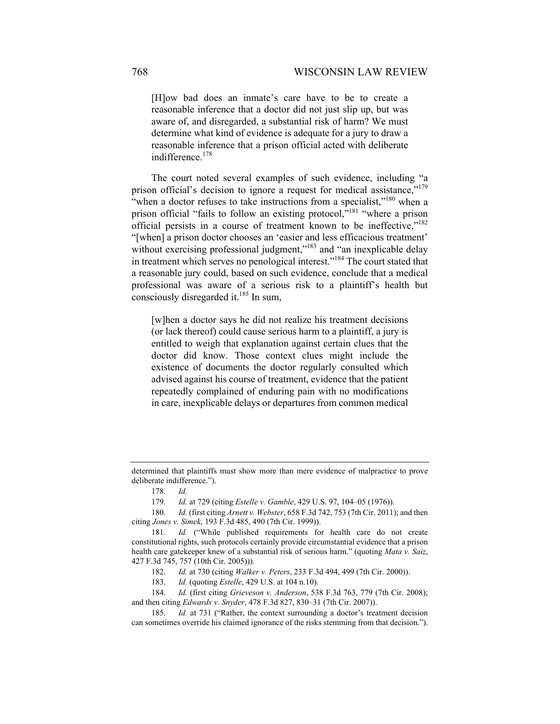[H]ow bad does an inmate's care have to be to create a reasonable inference that a doctor did not just slip up, but was aware of, and disregarded, a substantial risk of harm? We must determine what kind of evidence is adequate for a jury to draw a reasonable inference that a prison official acted with deliberate indifference.<sup>178</sup>

The court noted several examples of such evidence, including "a prison official's decision to ignore a request for medical assistance,"<sup>179</sup> "when a doctor refuses to take instructions from a specialist,"<sup>180</sup> when a prison official "fails to follow an existing protocol,"181 "where a prison official persists in a course of treatment known to be ineffective,"182 "[when] a prison doctor chooses an 'easier and less efficacious treatment' without exercising professional judgment,"<sup>183</sup> and "an inexplicable delay in treatment which serves no penological interest."184 The court stated that a reasonable jury could, based on such evidence, conclude that a medical professional was aware of a serious risk to a plaintiff's health but consciously disregarded it.<sup>185</sup> In sum,

[w]hen a doctor says he did not realize his treatment decisions (or lack thereof) could cause serious harm to a plaintiff, a jury is entitled to weigh that explanation against certain clues that the doctor did know. Those context clues might include the existence of documents the doctor regularly consulted which advised against his course of treatment, evidence that the patient repeatedly complained of enduring pain with no modifications in care, inexplicable delays or departures from common medical

determined that plaintiffs must show more than mere evidence of malpractice to prove deliberate indifference.").

 <sup>178.</sup> *Id.*

 <sup>179.</sup> *Id.* at 729 (citing *Estelle v. Gamble*, 429 U.S. 97, 104–05 (1976)).

 <sup>180.</sup> *Id.* (first citing *Arnett v. Webster*, 658 F.3d 742, 753 (7th Cir. 2011); and then citing *Jones v. Simek*, 193 F.3d 485, 490 (7th Cir. 1999)).

 <sup>181.</sup> *Id.* ("While published requirements for health care do not create constitutional rights, such protocols certainly provide circumstantial evidence that a prison health care gatekeeper knew of a substantial risk of serious harm." (quoting *Mata v. Saiz*, 427 F.3d 745, 757 (10th Cir. 2005))).

 <sup>182.</sup> *Id.* at 730 (citing *Walker v. Peters*, 233 F.3d 494, 499 (7th Cir. 2000)).

 <sup>183.</sup> *Id.* (quoting *Estelle*, 429 U.S. at 104 n.10).

 <sup>184.</sup> *Id.* (first citing *Grieveson v. Anderson*, 538 F.3d 763, 779 (7th Cir. 2008); and then citing *Edwards v. Snyder*, 478 F.3d 827, 830–31 (7th Cir. 2007)).

 <sup>185.</sup> *Id.* at 731 ("Rather, the context surrounding a doctor's treatment decision can sometimes override his claimed ignorance of the risks stemming from that decision.").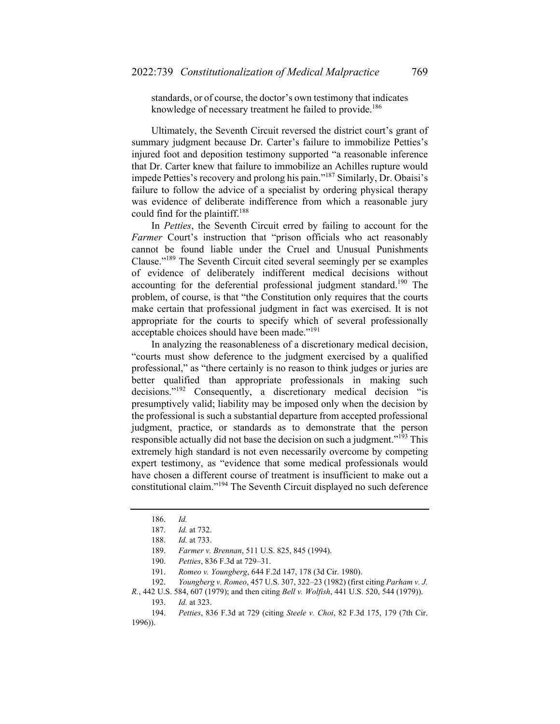standards, or of course, the doctor's own testimony that indicates knowledge of necessary treatment he failed to provide.<sup>186</sup>

Ultimately, the Seventh Circuit reversed the district court's grant of summary judgment because Dr. Carter's failure to immobilize Petties's injured foot and deposition testimony supported "a reasonable inference that Dr. Carter knew that failure to immobilize an Achilles rupture would impede Petties's recovery and prolong his pain."187 Similarly, Dr. Obaisi's failure to follow the advice of a specialist by ordering physical therapy was evidence of deliberate indifference from which a reasonable jury could find for the plaintiff.<sup>188</sup>

In *Petties*, the Seventh Circuit erred by failing to account for the *Farmer* Court's instruction that "prison officials who act reasonably cannot be found liable under the Cruel and Unusual Punishments Clause."189 The Seventh Circuit cited several seemingly per se examples of evidence of deliberately indifferent medical decisions without accounting for the deferential professional judgment standard.<sup>190</sup> The problem, of course, is that "the Constitution only requires that the courts make certain that professional judgment in fact was exercised. It is not appropriate for the courts to specify which of several professionally acceptable choices should have been made."191

In analyzing the reasonableness of a discretionary medical decision, "courts must show deference to the judgment exercised by a qualified professional," as "there certainly is no reason to think judges or juries are better qualified than appropriate professionals in making such decisions."192 Consequently, a discretionary medical decision "is presumptively valid; liability may be imposed only when the decision by the professional is such a substantial departure from accepted professional judgment, practice, or standards as to demonstrate that the person responsible actually did not base the decision on such a judgment."<sup>193</sup> This extremely high standard is not even necessarily overcome by competing expert testimony, as "evidence that some medical professionals would have chosen a different course of treatment is insufficient to make out a constitutional claim."194 The Seventh Circuit displayed no such deference

191. *Romeo v. Youngberg*, 644 F.2d 147, 178 (3d Cir. 1980).

192. *Youngberg v. Romeo*, 457 U.S. 307, 322–23 (1982) (first citing *Parham v. J.* 

 <sup>186.</sup> *Id.*

 <sup>187.</sup> *Id.* at 732.

 <sup>188.</sup> *Id.* at 733.

 <sup>189.</sup> *Farmer v. Brennan*, 511 U.S. 825, 845 (1994).

 <sup>190.</sup> *Petties*, 836 F.3d at 729–31.

*R.*, 442 U.S. 584, 607 (1979); and then citing *Bell v. Wolfish*, 441 U.S. 520, 544 (1979)).

 <sup>193.</sup> *Id.* at 323.

 <sup>194.</sup> *Petties*, 836 F.3d at 729 (citing *Steele v. Choi*, 82 F.3d 175, 179 (7th Cir. 1996)).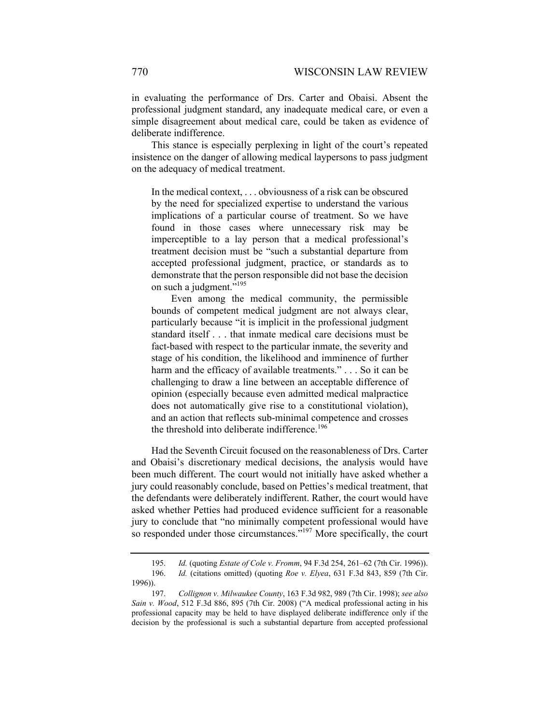in evaluating the performance of Drs. Carter and Obaisi. Absent the professional judgment standard, any inadequate medical care, or even a simple disagreement about medical care, could be taken as evidence of deliberate indifference.

This stance is especially perplexing in light of the court's repeated insistence on the danger of allowing medical laypersons to pass judgment on the adequacy of medical treatment.

In the medical context, . . . obviousness of a risk can be obscured by the need for specialized expertise to understand the various implications of a particular course of treatment. So we have found in those cases where unnecessary risk may be imperceptible to a lay person that a medical professional's treatment decision must be "such a substantial departure from accepted professional judgment, practice, or standards as to demonstrate that the person responsible did not base the decision on such a judgment."<sup>195</sup>

 Even among the medical community, the permissible bounds of competent medical judgment are not always clear, particularly because "it is implicit in the professional judgment standard itself . . . that inmate medical care decisions must be fact-based with respect to the particular inmate, the severity and stage of his condition, the likelihood and imminence of further harm and the efficacy of available treatments." . . . So it can be challenging to draw a line between an acceptable difference of opinion (especially because even admitted medical malpractice does not automatically give rise to a constitutional violation), and an action that reflects sub-minimal competence and crosses the threshold into deliberate indifference.<sup>196</sup>

Had the Seventh Circuit focused on the reasonableness of Drs. Carter and Obaisi's discretionary medical decisions, the analysis would have been much different. The court would not initially have asked whether a jury could reasonably conclude, based on Petties's medical treatment, that the defendants were deliberately indifferent. Rather, the court would have asked whether Petties had produced evidence sufficient for a reasonable jury to conclude that "no minimally competent professional would have so responded under those circumstances."<sup>197</sup> More specifically, the court

 <sup>195.</sup> *Id.* (quoting *Estate of Cole v. Fromm*, 94 F.3d 254, 261–62 (7th Cir. 1996)). 196. *Id.* (citations omitted) (quoting *Roe v. Elyea*, 631 F.3d 843, 859 (7th Cir. 1996)).

 <sup>197.</sup> *Collignon v. Milwaukee County*, 163 F.3d 982, 989 (7th Cir. 1998); *see also Sain v. Wood*, 512 F.3d 886, 895 (7th Cir. 2008) ("A medical professional acting in his professional capacity may be held to have displayed deliberate indifference only if the decision by the professional is such a substantial departure from accepted professional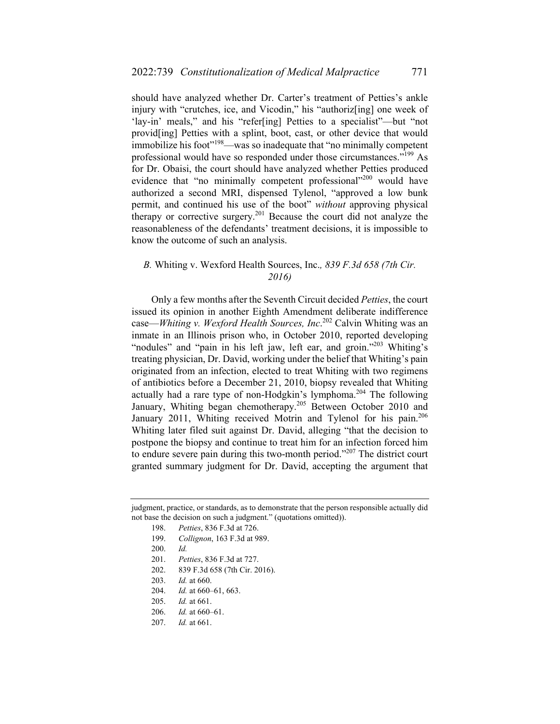should have analyzed whether Dr. Carter's treatment of Petties's ankle injury with "crutches, ice, and Vicodin," his "authoriz[ing] one week of 'lay-in' meals," and his "refer[ing] Petties to a specialist"—but "not provid[ing] Petties with a splint, boot, cast, or other device that would immobilize his foot"<sup>198</sup>—was so inadequate that "no minimally competent professional would have so responded under those circumstances."199 As for Dr. Obaisi, the court should have analyzed whether Petties produced evidence that "no minimally competent professional"<sup>200</sup> would have authorized a second MRI, dispensed Tylenol, "approved a low bunk permit, and continued his use of the boot" *without* approving physical therapy or corrective surgery.<sup>201</sup> Because the court did not analyze the reasonableness of the defendants' treatment decisions, it is impossible to know the outcome of such an analysis.

### *B.* Whiting v. Wexford Health Sources, Inc.*, 839 F.3d 658 (7th Cir. 2016)*

Only a few months after the Seventh Circuit decided *Petties*, the court issued its opinion in another Eighth Amendment deliberate indifference case—*Whiting v. Wexford Health Sources, Inc*. 202 Calvin Whiting was an inmate in an Illinois prison who, in October 2010, reported developing "nodules" and "pain in his left jaw, left ear, and groin."<sup>203</sup> Whiting's treating physician, Dr. David, working under the belief that Whiting's pain originated from an infection, elected to treat Whiting with two regimens of antibiotics before a December 21, 2010, biopsy revealed that Whiting actually had a rare type of non-Hodgkin's lymphoma.<sup>204</sup> The following January, Whiting began chemotherapy.<sup>205</sup> Between October 2010 and January 2011, Whiting received Motrin and Tylenol for his pain.<sup>206</sup> Whiting later filed suit against Dr. David, alleging "that the decision to postpone the biopsy and continue to treat him for an infection forced him to endure severe pain during this two-month period."<sup>207</sup> The district court granted summary judgment for Dr. David, accepting the argument that

- 200. *Id.*
- 201. *Petties*, 836 F.3d at 727.
- 202. 839 F.3d 658 (7th Cir. 2016).
- 203. *Id.* at 660.
- 204. *Id.* at 660–61, 663.
- 205. *Id.* at 661.
- 206. *Id.* at 660–61.
- 207. *Id.* at 661.

judgment, practice, or standards, as to demonstrate that the person responsible actually did not base the decision on such a judgment." (quotations omitted)).

 <sup>198.</sup> *Petties*, 836 F.3d at 726.

 <sup>199.</sup> *Collignon*, 163 F.3d at 989.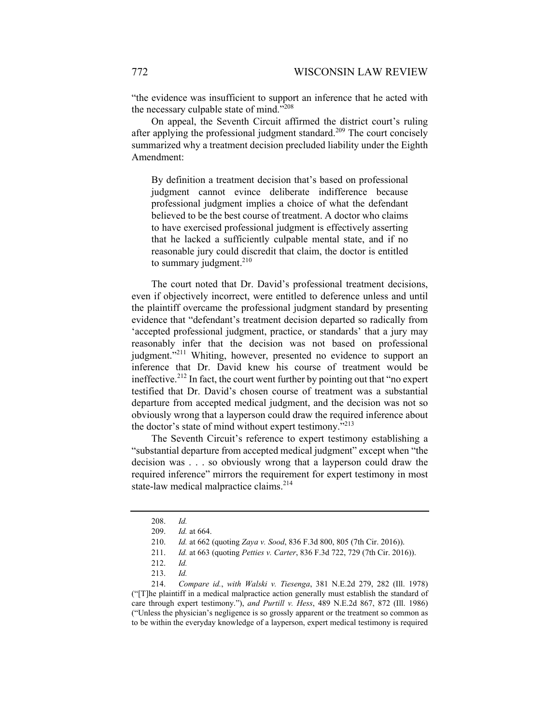"the evidence was insufficient to support an inference that he acted with the necessary culpable state of mind."<sup>208</sup>

On appeal, the Seventh Circuit affirmed the district court's ruling after applying the professional judgment standard.<sup>209</sup> The court concisely summarized why a treatment decision precluded liability under the Eighth Amendment:

By definition a treatment decision that's based on professional judgment cannot evince deliberate indifference because professional judgment implies a choice of what the defendant believed to be the best course of treatment. A doctor who claims to have exercised professional judgment is effectively asserting that he lacked a sufficiently culpable mental state, and if no reasonable jury could discredit that claim, the doctor is entitled to summary judgment. $210$ 

The court noted that Dr. David's professional treatment decisions, even if objectively incorrect, were entitled to deference unless and until the plaintiff overcame the professional judgment standard by presenting evidence that "defendant's treatment decision departed so radically from 'accepted professional judgment, practice, or standards' that a jury may reasonably infer that the decision was not based on professional judgment."<sup>211</sup> Whiting, however, presented no evidence to support an inference that Dr. David knew his course of treatment would be ineffective.<sup>212</sup> In fact, the court went further by pointing out that "no expert testified that Dr. David's chosen course of treatment was a substantial departure from accepted medical judgment, and the decision was not so obviously wrong that a layperson could draw the required inference about the doctor's state of mind without expert testimony."<sup>213</sup>

The Seventh Circuit's reference to expert testimony establishing a "substantial departure from accepted medical judgment" except when "the decision was . . . so obviously wrong that a layperson could draw the required inference" mirrors the requirement for expert testimony in most state-law medical malpractice claims.<sup>214</sup>

 <sup>208.</sup> *Id.*

 <sup>209.</sup> *Id.* at 664.

 <sup>210.</sup> *Id.* at 662 (quoting *Zaya v. Sood*, 836 F.3d 800, 805 (7th Cir. 2016)).

 <sup>211.</sup> *Id.* at 663 (quoting *Petties v. Carter*, 836 F.3d 722, 729 (7th Cir. 2016)).

 <sup>212.</sup> *Id.*

 <sup>213.</sup> *Id.*

 <sup>214.</sup> *Compare id.*, *with Walski v. Tiesenga*, 381 N.E.2d 279, 282 (Ill. 1978) ("[T]he plaintiff in a medical malpractice action generally must establish the standard of care through expert testimony."), *and Purtill v. Hess*, 489 N.E.2d 867, 872 (Ill. 1986) ("Unless the physician's negligence is so grossly apparent or the treatment so common as to be within the everyday knowledge of a layperson, expert medical testimony is required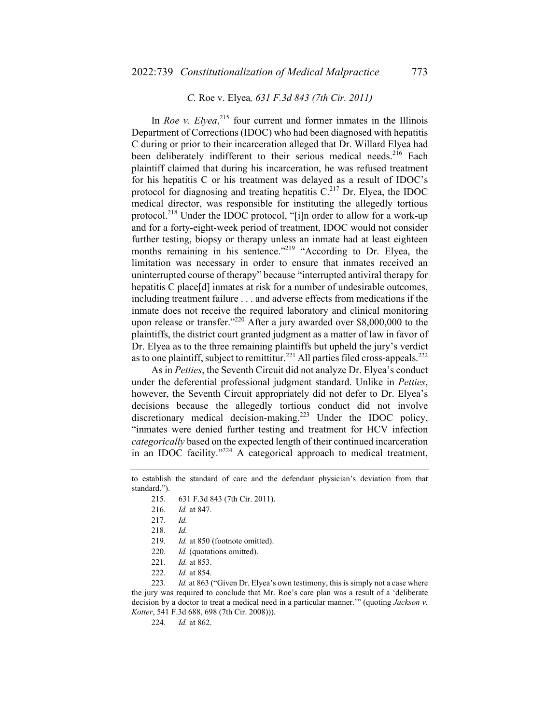### *C.* Roe v. Elyea*, 631 F.3d 843 (7th Cir. 2011)*

In *Roe v. Elyea*<sup>215</sup> four current and former inmates in the Illinois Department of Corrections (IDOC) who had been diagnosed with hepatitis C during or prior to their incarceration alleged that Dr. Willard Elyea had been deliberately indifferent to their serious medical needs.<sup>216</sup> Each plaintiff claimed that during his incarceration, he was refused treatment for his hepatitis C or his treatment was delayed as a result of IDOC's protocol for diagnosing and treating hepatitis  $C<sup>217</sup>$  Dr. Elyea, the IDOC medical director, was responsible for instituting the allegedly tortious protocol.<sup>218</sup> Under the IDOC protocol, "[i]n order to allow for a work-up and for a forty-eight-week period of treatment, IDOC would not consider further testing, biopsy or therapy unless an inmate had at least eighteen months remaining in his sentence."<sup>219</sup> "According to Dr. Elyea, the limitation was necessary in order to ensure that inmates received an uninterrupted course of therapy" because "interrupted antiviral therapy for hepatitis C place[d] inmates at risk for a number of undesirable outcomes, including treatment failure . . . and adverse effects from medications if the inmate does not receive the required laboratory and clinical monitoring upon release or transfer."<sup>220</sup> After a jury awarded over \$8,000,000 to the plaintiffs, the district court granted judgment as a matter of law in favor of Dr. Elyea as to the three remaining plaintiffs but upheld the jury's verdict as to one plaintiff, subject to remittitur.<sup>221</sup> All parties filed cross-appeals.<sup>222</sup>

As in *Petties*, the Seventh Circuit did not analyze Dr. Elyea's conduct under the deferential professional judgment standard. Unlike in *Petties*, however, the Seventh Circuit appropriately did not defer to Dr. Elyea's decisions because the allegedly tortious conduct did not involve discretionary medical decision-making.<sup>223</sup> Under the IDOC policy, "inmates were denied further testing and treatment for HCV infection *categorically* based on the expected length of their continued incarceration in an IDOC facility."224 A categorical approach to medical treatment,

 223. *Id.* at 863 ("Given Dr. Elyea's own testimony, this is simply not a case where the jury was required to conclude that Mr. Roe's care plan was a result of a 'deliberate decision by a doctor to treat a medical need in a particular manner.'" (quoting *Jackson v. Kotter*, 541 F.3d 688, 698 (7th Cir. 2008))).

224. *Id.* at 862.

to establish the standard of care and the defendant physician's deviation from that standard.").

 <sup>215. 631</sup> F.3d 843 (7th Cir. 2011).

 <sup>216.</sup> *Id.* at 847.

 <sup>217.</sup> *Id.*

 <sup>218.</sup> *Id.*

 <sup>219.</sup> *Id.* at 850 (footnote omitted).

 <sup>220.</sup> *Id.* (quotations omitted).

 <sup>221.</sup> *Id.* at 853.

 <sup>222.</sup> *Id.* at 854.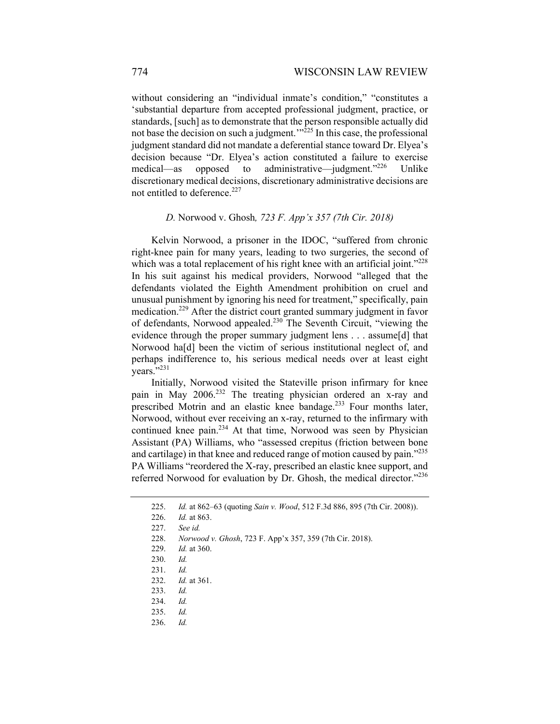without considering an "individual inmate's condition," "constitutes a 'substantial departure from accepted professional judgment, practice, or standards, [such] as to demonstrate that the person responsible actually did not base the decision on such a judgment.<sup> $m^2$ 25</sup> In this case, the professional judgment standard did not mandate a deferential stance toward Dr. Elyea's decision because "Dr. Elyea's action constituted a failure to exercise medical—as opposed to administrative—judgment."<sup>226</sup> Unlike discretionary medical decisions, discretionary administrative decisions are not entitled to deference.<sup>227</sup>

#### *D.* Norwood v. Ghosh*, 723 F. App'x 357 (7th Cir. 2018)*

Kelvin Norwood, a prisoner in the IDOC, "suffered from chronic right-knee pain for many years, leading to two surgeries, the second of which was a total replacement of his right knee with an artificial joint."<sup>228</sup> In his suit against his medical providers, Norwood "alleged that the defendants violated the Eighth Amendment prohibition on cruel and unusual punishment by ignoring his need for treatment," specifically, pain medication.229 After the district court granted summary judgment in favor of defendants, Norwood appealed.230 The Seventh Circuit, "viewing the evidence through the proper summary judgment lens . . . assume[d] that Norwood ha[d] been the victim of serious institutional neglect of, and perhaps indifference to, his serious medical needs over at least eight years."<sup>231</sup>

Initially, Norwood visited the Stateville prison infirmary for knee pain in May 2006.<sup>232</sup> The treating physician ordered an x-ray and prescribed Motrin and an elastic knee bandage.<sup>233</sup> Four months later, Norwood, without ever receiving an x-ray, returned to the infirmary with continued knee pain.<sup>234</sup> At that time, Norwood was seen by Physician Assistant (PA) Williams, who "assessed crepitus (friction between bone and cartilage) in that knee and reduced range of motion caused by pain."<sup>235</sup> PA Williams "reordered the X-ray, prescribed an elastic knee support, and referred Norwood for evaluation by Dr. Ghosh, the medical director."<sup>236</sup>

 <sup>225.</sup> *Id.* at 862–63 (quoting *Sain v. Wood*, 512 F.3d 886, 895 (7th Cir. 2008)).

 <sup>226.</sup> *Id.* at 863.

 <sup>227.</sup> *See id.*

 <sup>228.</sup> *Norwood v. Ghosh*, 723 F. App'x 357, 359 (7th Cir. 2018).

 <sup>229.</sup> *Id.* at 360.

 <sup>230.</sup> *Id.*

 <sup>231.</sup> *Id.*

 <sup>232.</sup> *Id.* at 361.

 <sup>233.</sup> *Id.*

 <sup>234.</sup> *Id.*

 <sup>235.</sup> *Id.*

 <sup>236.</sup> *Id.*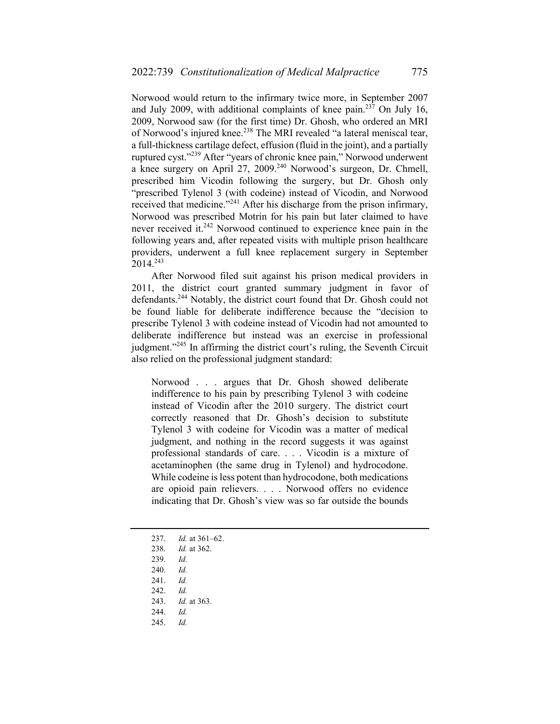Norwood would return to the infirmary twice more, in September 2007 and July 2009, with additional complaints of knee pain.<sup>237</sup> On July 16, 2009, Norwood saw (for the first time) Dr. Ghosh, who ordered an MRI of Norwood's injured knee.<sup>238</sup> The MRI revealed "a lateral meniscal tear, a full-thickness cartilage defect, effusion (fluid in the joint), and a partially ruptured cyst."239 After "years of chronic knee pain," Norwood underwent a knee surgery on April 27, 2009.<sup>240</sup> Norwood's surgeon, Dr. Chmell, prescribed him Vicodin following the surgery, but Dr. Ghosh only "prescribed Tylenol 3 (with codeine) instead of Vicodin, and Norwood received that medicine."<sup>241</sup> After his discharge from the prison infirmary, Norwood was prescribed Motrin for his pain but later claimed to have never received it.<sup>242</sup> Norwood continued to experience knee pain in the following years and, after repeated visits with multiple prison healthcare providers, underwent a full knee replacement surgery in September 2014.243

After Norwood filed suit against his prison medical providers in 2011, the district court granted summary judgment in favor of defendants.244 Notably, the district court found that Dr. Ghosh could not be found liable for deliberate indifference because the "decision to prescribe Tylenol 3 with codeine instead of Vicodin had not amounted to deliberate indifference but instead was an exercise in professional judgment."<sup>245</sup> In affirming the district court's ruling, the Seventh Circuit also relied on the professional judgment standard:

Norwood . . . argues that Dr. Ghosh showed deliberate indifference to his pain by prescribing Tylenol 3 with codeine instead of Vicodin after the 2010 surgery. The district court correctly reasoned that Dr. Ghosh's decision to substitute Tylenol 3 with codeine for Vicodin was a matter of medical judgment, and nothing in the record suggests it was against professional standards of care. . . . Vicodin is a mixture of acetaminophen (the same drug in Tylenol) and hydrocodone. While codeine is less potent than hydrocodone, both medications are opioid pain relievers. . . . Norwood offers no evidence indicating that Dr. Ghosh's view was so far outside the bounds

- 237. *Id.* at 361–62.
- 238. *Id.* at 362.
- 239. *Id.*
- 240. *Id.*
- 241. *Id.*
- 242. *Id.*
- 243. *Id.* at 363.
- 244. *Id.*
- 245. *Id.*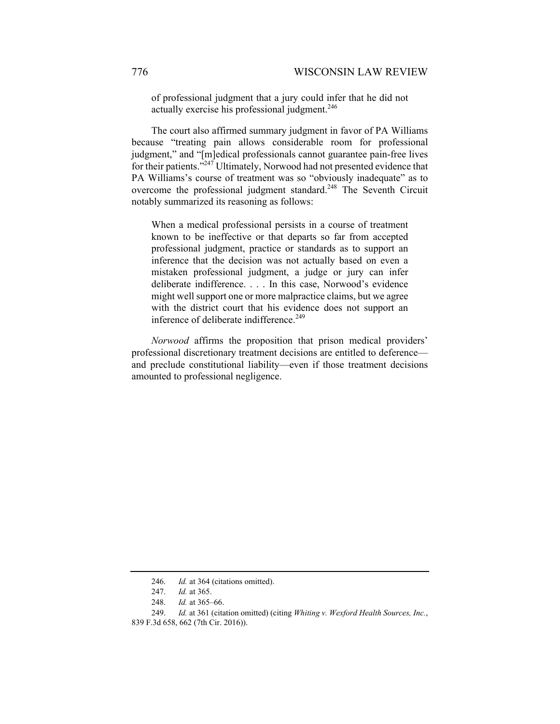of professional judgment that a jury could infer that he did not actually exercise his professional judgment.<sup>246</sup>

The court also affirmed summary judgment in favor of PA Williams because "treating pain allows considerable room for professional judgment," and "[m]edical professionals cannot guarantee pain-free lives for their patients."247 Ultimately, Norwood had not presented evidence that PA Williams's course of treatment was so "obviously inadequate" as to overcome the professional judgment standard.<sup>248</sup> The Seventh Circuit notably summarized its reasoning as follows:

When a medical professional persists in a course of treatment known to be ineffective or that departs so far from accepted professional judgment, practice or standards as to support an inference that the decision was not actually based on even a mistaken professional judgment, a judge or jury can infer deliberate indifference. . . . In this case, Norwood's evidence might well support one or more malpractice claims, but we agree with the district court that his evidence does not support an inference of deliberate indifference.<sup>249</sup>

*Norwood* affirms the proposition that prison medical providers' professional discretionary treatment decisions are entitled to deference and preclude constitutional liability—even if those treatment decisions amounted to professional negligence.

 <sup>246.</sup> *Id.* at 364 (citations omitted).

 <sup>247.</sup> *Id.* at 365.

 <sup>248.</sup> *Id.* at 365–66.

 <sup>249.</sup> *Id.* at 361 (citation omitted) (citing *Whiting v. Wexford Health Sources, Inc.*, 839 F.3d 658, 662 (7th Cir. 2016)).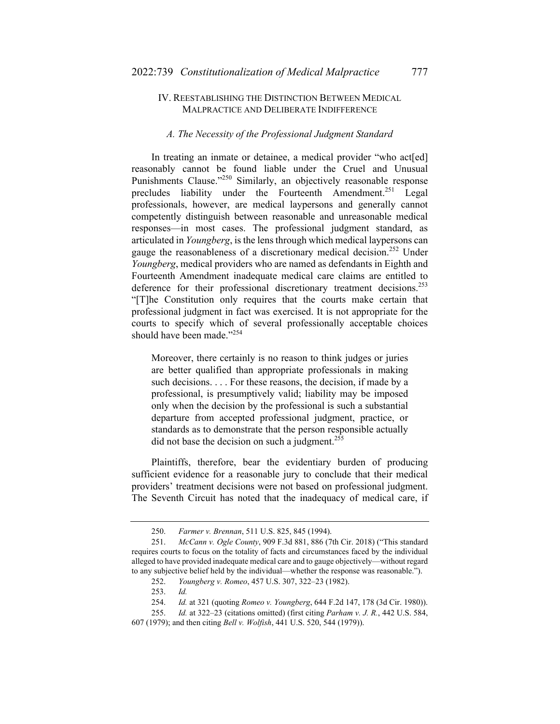### IV. REESTABLISHING THE DISTINCTION BETWEEN MEDICAL MALPRACTICE AND DELIBERATE INDIFFERENCE

#### *A. The Necessity of the Professional Judgment Standard*

In treating an inmate or detainee, a medical provider "who act[ed] reasonably cannot be found liable under the Cruel and Unusual Punishments Clause."<sup>250</sup> Similarly, an objectively reasonable response precludes liability under the Fourteenth Amendment.<sup>251</sup> Legal professionals, however, are medical laypersons and generally cannot competently distinguish between reasonable and unreasonable medical responses—in most cases. The professional judgment standard, as articulated in *Youngberg*, is the lens through which medical laypersons can gauge the reasonableness of a discretionary medical decision.<sup>252</sup> Under *Youngberg*, medical providers who are named as defendants in Eighth and Fourteenth Amendment inadequate medical care claims are entitled to deference for their professional discretionary treatment decisions.<sup>253</sup> "[T]he Constitution only requires that the courts make certain that professional judgment in fact was exercised. It is not appropriate for the courts to specify which of several professionally acceptable choices should have been made."<sup>254</sup>

Moreover, there certainly is no reason to think judges or juries are better qualified than appropriate professionals in making such decisions. . . . For these reasons, the decision, if made by a professional, is presumptively valid; liability may be imposed only when the decision by the professional is such a substantial departure from accepted professional judgment, practice, or standards as to demonstrate that the person responsible actually did not base the decision on such a judgment.<sup>255</sup>

Plaintiffs, therefore, bear the evidentiary burden of producing sufficient evidence for a reasonable jury to conclude that their medical providers' treatment decisions were not based on professional judgment. The Seventh Circuit has noted that the inadequacy of medical care, if

 <sup>250.</sup> *Farmer v. Brennan*, 511 U.S. 825, 845 (1994).

 <sup>251.</sup> *McCann v. Ogle County*, 909 F.3d 881, 886 (7th Cir. 2018) ("This standard requires courts to focus on the totality of facts and circumstances faced by the individual alleged to have provided inadequate medical care and to gauge objectively—without regard to any subjective belief held by the individual—whether the response was reasonable.").

 <sup>252.</sup> *Youngberg v. Romeo*, 457 U.S. 307, 322–23 (1982).

 <sup>253.</sup> *Id.*

 <sup>254.</sup> *Id.* at 321 (quoting *Romeo v. Youngberg*, 644 F.2d 147, 178 (3d Cir. 1980)).

 <sup>255.</sup> *Id.* at 322–23 (citations omitted) (first citing *Parham v. J. R.*, 442 U.S. 584, 607 (1979); and then citing *Bell v. Wolfish*, 441 U.S. 520, 544 (1979)).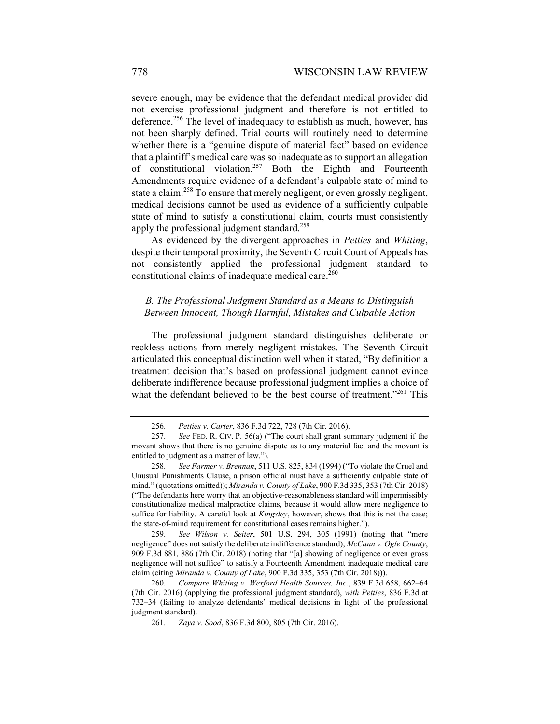severe enough, may be evidence that the defendant medical provider did not exercise professional judgment and therefore is not entitled to deference.<sup>256</sup> The level of inadequacy to establish as much, however, has not been sharply defined. Trial courts will routinely need to determine whether there is a "genuine dispute of material fact" based on evidence that a plaintiff's medical care was so inadequate as to support an allegation of constitutional violation.<sup>257</sup> Both the Eighth and Fourteenth Amendments require evidence of a defendant's culpable state of mind to state a claim.<sup>258</sup> To ensure that merely negligent, or even grossly negligent, medical decisions cannot be used as evidence of a sufficiently culpable state of mind to satisfy a constitutional claim, courts must consistently apply the professional judgment standard.<sup>259</sup>

As evidenced by the divergent approaches in *Petties* and *Whiting*, despite their temporal proximity, the Seventh Circuit Court of Appeals has not consistently applied the professional judgment standard to constitutional claims of inadequate medical care. $260$ 

## *B. The Professional Judgment Standard as a Means to Distinguish Between Innocent, Though Harmful, Mistakes and Culpable Action*

The professional judgment standard distinguishes deliberate or reckless actions from merely negligent mistakes. The Seventh Circuit articulated this conceptual distinction well when it stated, "By definition a treatment decision that's based on professional judgment cannot evince deliberate indifference because professional judgment implies a choice of what the defendant believed to be the best course of treatment."<sup>261</sup> This

 259. *See Wilson v. Seiter*, 501 U.S. 294, 305 (1991) (noting that "mere negligence" does not satisfy the deliberate indifference standard); *McCann v. Ogle County*, 909 F.3d 881, 886 (7th Cir. 2018) (noting that "[a] showing of negligence or even gross negligence will not suffice" to satisfy a Fourteenth Amendment inadequate medical care claim (citing *Miranda v. County of Lake*, 900 F.3d 335, 353 (7th Cir. 2018))).

 <sup>256.</sup> *Petties v. Carter*, 836 F.3d 722, 728 (7th Cir. 2016).

 <sup>257.</sup> *See* FED. R. CIV. P. 56(a) ("The court shall grant summary judgment if the movant shows that there is no genuine dispute as to any material fact and the movant is entitled to judgment as a matter of law.").

 <sup>258.</sup> *See Farmer v. Brennan*, 511 U.S. 825, 834 (1994) ("To violate the Cruel and Unusual Punishments Clause, a prison official must have a sufficiently culpable state of mind." (quotations omitted)); *Miranda v. County of Lake*, 900 F.3d 335, 353 (7th Cir. 2018) ("The defendants here worry that an objective-reasonableness standard will impermissibly constitutionalize medical malpractice claims, because it would allow mere negligence to suffice for liability. A careful look at *Kingsley*, however, shows that this is not the case; the state-of-mind requirement for constitutional cases remains higher.").

 <sup>260.</sup> *Compare Whiting v. Wexford Health Sources, Inc.*, 839 F.3d 658, 662–64 (7th Cir. 2016) (applying the professional judgment standard), *with Petties*, 836 F.3d at 732–34 (failing to analyze defendants' medical decisions in light of the professional judgment standard).

 <sup>261.</sup> *Zaya v. Sood*, 836 F.3d 800, 805 (7th Cir. 2016).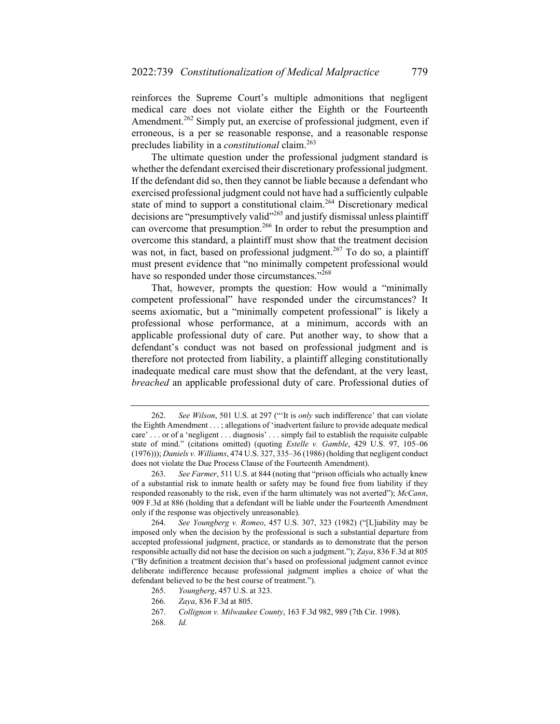reinforces the Supreme Court's multiple admonitions that negligent medical care does not violate either the Eighth or the Fourteenth Amendment.<sup>262</sup> Simply put, an exercise of professional judgment, even if erroneous, is a per se reasonable response, and a reasonable response precludes liability in a *constitutional* claim.<sup>263</sup>

The ultimate question under the professional judgment standard is whether the defendant exercised their discretionary professional judgment. If the defendant did so, then they cannot be liable because a defendant who exercised professional judgment could not have had a sufficiently culpable state of mind to support a constitutional claim.<sup>264</sup> Discretionary medical decisions are "presumptively valid"<sup>265</sup> and justify dismissal unless plaintiff can overcome that presumption.266 In order to rebut the presumption and overcome this standard, a plaintiff must show that the treatment decision was not, in fact, based on professional judgment.<sup>267</sup> To do so, a plaintiff must present evidence that "no minimally competent professional would have so responded under those circumstances."<sup>268</sup>

That, however, prompts the question: How would a "minimally competent professional" have responded under the circumstances? It seems axiomatic, but a "minimally competent professional" is likely a professional whose performance, at a minimum, accords with an applicable professional duty of care. Put another way, to show that a defendant's conduct was not based on professional judgment and is therefore not protected from liability, a plaintiff alleging constitutionally inadequate medical care must show that the defendant, at the very least, *breached* an applicable professional duty of care. Professional duties of

268. *Id.*

 <sup>262.</sup> *See Wilson*, 501 U.S. at 297 ("'It is *only* such indifference' that can violate the Eighth Amendment . . . ; allegations of 'inadvertent failure to provide adequate medical care' . . . or of a 'negligent . . . diagnosis' . . . simply fail to establish the requisite culpable state of mind." (citations omitted) (quoting *Estelle v. Gamble*, 429 U.S. 97, 105–06 (1976))); *Daniels v. Williams*, 474 U.S. 327, 335–36 (1986) (holding that negligent conduct does not violate the Due Process Clause of the Fourteenth Amendment).

 <sup>263.</sup> *See Farmer*, 511 U.S. at 844 (noting that "prison officials who actually knew of a substantial risk to inmate health or safety may be found free from liability if they responded reasonably to the risk, even if the harm ultimately was not averted"); *McCann*, 909 F.3d at 886 (holding that a defendant will be liable under the Fourteenth Amendment only if the response was objectively unreasonable).

 <sup>264.</sup> *See Youngberg v. Romeo*, 457 U.S. 307, 323 (1982) ("[L]iability may be imposed only when the decision by the professional is such a substantial departure from accepted professional judgment, practice, or standards as to demonstrate that the person responsible actually did not base the decision on such a judgment."); *Zaya*, 836 F.3d at 805 ("By definition a treatment decision that's based on professional judgment cannot evince deliberate indifference because professional judgment implies a choice of what the defendant believed to be the best course of treatment.").

 <sup>265.</sup> *Youngberg*, 457 U.S. at 323.

 <sup>266.</sup> *Zaya*, 836 F.3d at 805.

 <sup>267.</sup> *Collignon v. Milwaukee County*, 163 F.3d 982, 989 (7th Cir. 1998).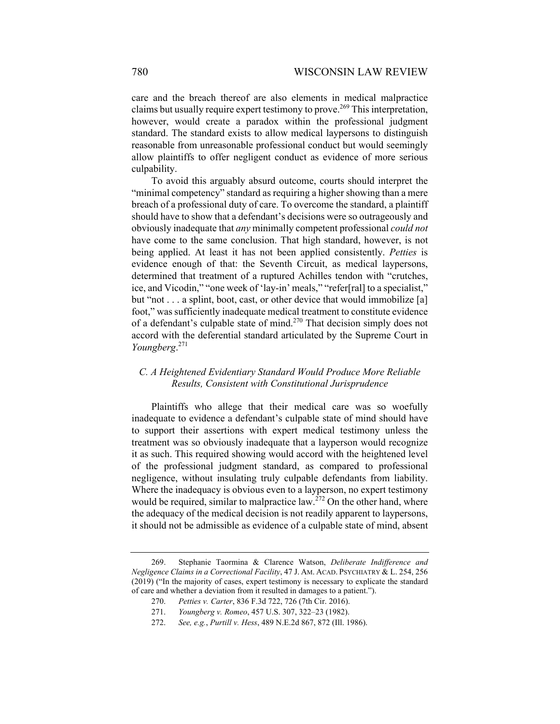care and the breach thereof are also elements in medical malpractice claims but usually require expert testimony to prove.<sup>269</sup> This interpretation, however, would create a paradox within the professional judgment standard. The standard exists to allow medical laypersons to distinguish reasonable from unreasonable professional conduct but would seemingly allow plaintiffs to offer negligent conduct as evidence of more serious culpability.

To avoid this arguably absurd outcome, courts should interpret the "minimal competency" standard as requiring a higher showing than a mere breach of a professional duty of care. To overcome the standard, a plaintiff should have to show that a defendant's decisions were so outrageously and obviously inadequate that *any* minimally competent professional *could not* have come to the same conclusion. That high standard, however, is not being applied. At least it has not been applied consistently. *Petties* is evidence enough of that: the Seventh Circuit, as medical laypersons, determined that treatment of a ruptured Achilles tendon with "crutches, ice, and Vicodin," "one week of 'lay-in' meals," "refer[ral] to a specialist," but "not . . . a splint, boot, cast, or other device that would immobilize [a] foot," was sufficiently inadequate medical treatment to constitute evidence of a defendant's culpable state of mind.<sup>270</sup> That decision simply does not accord with the deferential standard articulated by the Supreme Court in *Youngberg*. 271

## *C. A Heightened Evidentiary Standard Would Produce More Reliable Results, Consistent with Constitutional Jurisprudence*

Plaintiffs who allege that their medical care was so woefully inadequate to evidence a defendant's culpable state of mind should have to support their assertions with expert medical testimony unless the treatment was so obviously inadequate that a layperson would recognize it as such. This required showing would accord with the heightened level of the professional judgment standard, as compared to professional negligence, without insulating truly culpable defendants from liability. Where the inadequacy is obvious even to a layperson, no expert testimony would be required, similar to malpractice law.<sup>272</sup> On the other hand, where the adequacy of the medical decision is not readily apparent to laypersons, it should not be admissible as evidence of a culpable state of mind, absent

 <sup>269.</sup> Stephanie Taormina & Clarence Watson, *Deliberate Indifference and Negligence Claims in a Correctional Facility*, 47 J. AM. ACAD. PSYCHIATRY & L. 254, 256 (2019) ("In the majority of cases, expert testimony is necessary to explicate the standard of care and whether a deviation from it resulted in damages to a patient.").

 <sup>270.</sup> *Petties v. Carter*, 836 F.3d 722, 726 (7th Cir. 2016).

 <sup>271.</sup> *Youngberg v. Romeo*, 457 U.S. 307, 322–23 (1982).

 <sup>272.</sup> *See, e.g.*, *Purtill v. Hess*, 489 N.E.2d 867, 872 (Ill. 1986).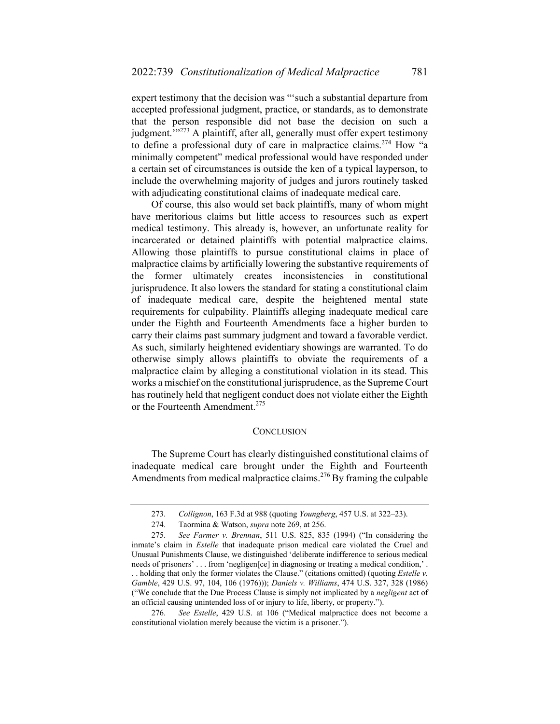expert testimony that the decision was "'such a substantial departure from accepted professional judgment, practice, or standards, as to demonstrate that the person responsible did not base the decision on such a judgment."<sup>273</sup> A plaintiff, after all, generally must offer expert testimony to define a professional duty of care in malpractice claims.274 How "a minimally competent" medical professional would have responded under a certain set of circumstances is outside the ken of a typical layperson, to include the overwhelming majority of judges and jurors routinely tasked with adjudicating constitutional claims of inadequate medical care.

Of course, this also would set back plaintiffs, many of whom might have meritorious claims but little access to resources such as expert medical testimony. This already is, however, an unfortunate reality for incarcerated or detained plaintiffs with potential malpractice claims. Allowing those plaintiffs to pursue constitutional claims in place of malpractice claims by artificially lowering the substantive requirements of the former ultimately creates inconsistencies in constitutional jurisprudence. It also lowers the standard for stating a constitutional claim of inadequate medical care, despite the heightened mental state requirements for culpability. Plaintiffs alleging inadequate medical care under the Eighth and Fourteenth Amendments face a higher burden to carry their claims past summary judgment and toward a favorable verdict. As such, similarly heightened evidentiary showings are warranted. To do otherwise simply allows plaintiffs to obviate the requirements of a malpractice claim by alleging a constitutional violation in its stead. This works a mischief on the constitutional jurisprudence, as the Supreme Court has routinely held that negligent conduct does not violate either the Eighth or the Fourteenth Amendment.<sup>275</sup>

#### **CONCLUSION**

The Supreme Court has clearly distinguished constitutional claims of inadequate medical care brought under the Eighth and Fourteenth Amendments from medical malpractice claims.<sup>276</sup> By framing the culpable

 <sup>273.</sup> *Collignon*, 163 F.3d at 988 (quoting *Youngberg*, 457 U.S. at 322–23).

 <sup>274.</sup> Taormina & Watson, *supra* note 269, at 256.

 <sup>275.</sup> *See Farmer v. Brennan*, 511 U.S. 825, 835 (1994) ("In considering the inmate's claim in *Estelle* that inadequate prison medical care violated the Cruel and Unusual Punishments Clause, we distinguished 'deliberate indifference to serious medical needs of prisoners' . . . from 'negligen[ce] in diagnosing or treating a medical condition,'. . . holding that only the former violates the Clause." (citations omitted) (quoting *Estelle v. Gamble*, 429 U.S. 97, 104, 106 (1976))); *Daniels v. Williams*, 474 U.S. 327, 328 (1986) ("We conclude that the Due Process Clause is simply not implicated by a *negligent* act of an official causing unintended loss of or injury to life, liberty, or property.").

 <sup>276.</sup> *See Estelle*, 429 U.S. at 106 ("Medical malpractice does not become a constitutional violation merely because the victim is a prisoner.").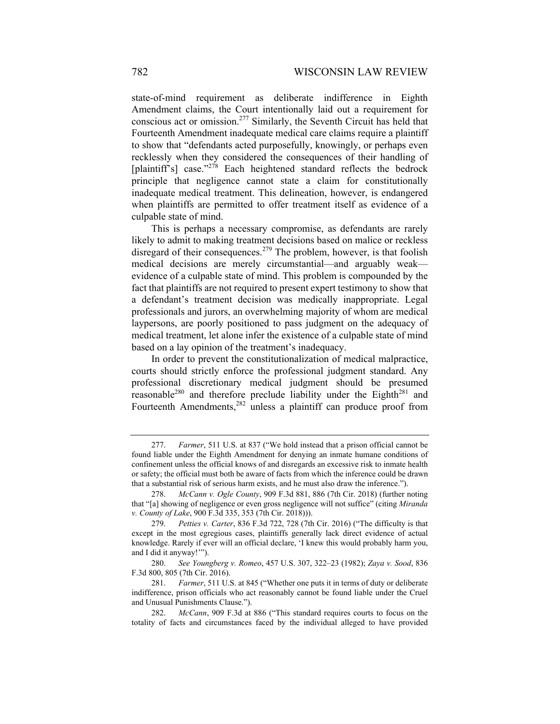state-of-mind requirement as deliberate indifference in Eighth Amendment claims, the Court intentionally laid out a requirement for conscious act or omission.277 Similarly, the Seventh Circuit has held that Fourteenth Amendment inadequate medical care claims require a plaintiff to show that "defendants acted purposefully, knowingly, or perhaps even recklessly when they considered the consequences of their handling of [plaintiff's] case."<sup>278</sup> Each heightened standard reflects the bedrock principle that negligence cannot state a claim for constitutionally inadequate medical treatment. This delineation, however, is endangered when plaintiffs are permitted to offer treatment itself as evidence of a culpable state of mind.

This is perhaps a necessary compromise, as defendants are rarely likely to admit to making treatment decisions based on malice or reckless disregard of their consequences.<sup>279</sup> The problem, however, is that foolish medical decisions are merely circumstantial—and arguably weak evidence of a culpable state of mind. This problem is compounded by the fact that plaintiffs are not required to present expert testimony to show that a defendant's treatment decision was medically inappropriate. Legal professionals and jurors, an overwhelming majority of whom are medical laypersons, are poorly positioned to pass judgment on the adequacy of medical treatment, let alone infer the existence of a culpable state of mind based on a lay opinion of the treatment's inadequacy.

In order to prevent the constitutionalization of medical malpractice, courts should strictly enforce the professional judgment standard. Any professional discretionary medical judgment should be presumed reasonable<sup>280</sup> and therefore preclude liability under the Eighth<sup>281</sup> and Fourteenth Amendments,<sup>282</sup> unless a plaintiff can produce proof from

 <sup>277.</sup> *Farmer*, 511 U.S. at 837 ("We hold instead that a prison official cannot be found liable under the Eighth Amendment for denying an inmate humane conditions of confinement unless the official knows of and disregards an excessive risk to inmate health or safety; the official must both be aware of facts from which the inference could be drawn that a substantial risk of serious harm exists, and he must also draw the inference.").

 <sup>278.</sup> *McCann v. Ogle County*, 909 F.3d 881, 886 (7th Cir. 2018) (further noting that "[a] showing of negligence or even gross negligence will not suffice" (citing *Miranda v. County of Lake*, 900 F.3d 335, 353 (7th Cir. 2018))).

 <sup>279.</sup> *Petties v. Carter*, 836 F.3d 722, 728 (7th Cir. 2016) ("The difficulty is that except in the most egregious cases, plaintiffs generally lack direct evidence of actual knowledge. Rarely if ever will an official declare, 'I knew this would probably harm you, and I did it anyway!'").

 <sup>280.</sup> *See Youngberg v. Romeo*, 457 U.S. 307, 322–23 (1982); *Zaya v. Sood*, 836 F.3d 800, 805 (7th Cir. 2016).

 <sup>281.</sup> *Farmer*, 511 U.S. at 845 ("Whether one puts it in terms of duty or deliberate indifference, prison officials who act reasonably cannot be found liable under the Cruel and Unusual Punishments Clause.").

 <sup>282.</sup> *McCann*, 909 F.3d at 886 ("This standard requires courts to focus on the totality of facts and circumstances faced by the individual alleged to have provided